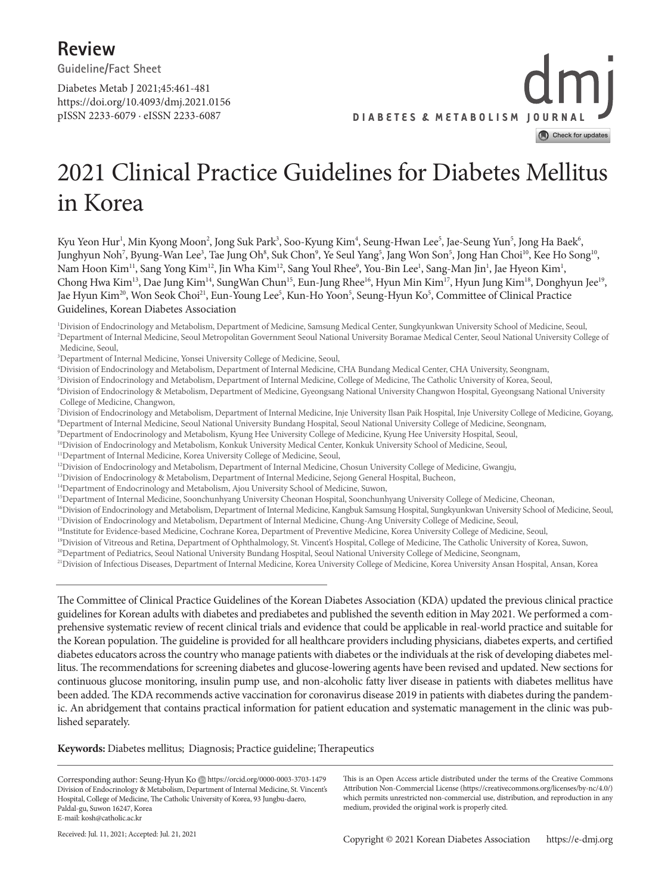**Review Guideline/Fact Sheet** 

Diabetes Metab J 2021;45:461-481

https://doi.org/10.4093/dmj.2021.0156 pISSN 2233-6079 · eISSN 2233-6087

**DIABETES & METABOLISM JOURNAL** Check for updates

# 2021 Clinical Practice Guidelines for Diabetes Mellitus in Korea

Kyu Yeon Hur<sup>1</sup>, Min Kyong Moon<sup>2</sup>, Jong Suk Park<sup>3</sup>, Soo-Kyung Kim<sup>4</sup>, Seung-Hwan Lee<sup>5</sup>, Jae-Seung Yun<sup>5</sup>, Jong Ha Baek<sup>6</sup>, Junghyun Noh<sup>7</sup>, Byung-Wan Lee<sup>3</sup>, Tae Jung Oh<sup>8</sup>, Suk Chon<sup>9</sup>, Ye Seul Yang<sup>5</sup>, Jang Won Son<sup>5</sup>, Jong Han Choi<sup>10</sup>, Kee Ho Song<sup>10</sup>, Nam Hoon Kim<sup>11</sup>, Sang Yong Kim<sup>12</sup>, Jin Wha Kim<sup>12</sup>, Sang Youl Rhee<sup>9</sup>, You-Bin Lee<sup>1</sup>, Sang-Man Jin<sup>1</sup>, Jae Hyeon Kim<sup>1</sup>, Chong Hwa Kim<sup>13</sup>, Dae Jung Kim<sup>14</sup>, SungWan Chun<sup>15</sup>, Eun-Jung Rhee<sup>16</sup>, Hyun Min Kim<sup>17</sup>, Hyun Jung Kim<sup>18</sup>, Donghyun Jee<sup>19</sup>, Jae Hyun Kim<sup>20</sup>, Won Seok Choi<sup>21</sup>, Eun-Young Lee<sup>5</sup>, Kun-Ho Yoon<sup>5</sup>, Seung-Hyun Ko<sup>5</sup>, Committee of Clinical Practice Guidelines, Korean Diabetes Association

1 Division of Endocrinology and Metabolism, Department of Medicine, Samsung Medical Center, Sungkyunkwan University School of Medicine, Seoul, 2 Department of Internal Medicine, Seoul Metropolitan Government Seoul National University Boramae Medical Center, Seoul National University College of Medicine, Seoul,

- <sup>3</sup>Department of Internal Medicine, Yonsei University College of Medicine, Seoul,
- 4 Division of Endocrinology and Metabolism, Department of Internal Medicine, CHA Bundang Medical Center, CHA University, Seongnam,
- 5 Division of Endocrinology and Metabolism, Department of Internal Medicine, College of Medicine, The Catholic University of Korea, Seoul,

6 Division of Endocrinology & Metabolism, Department of Medicine, Gyeongsang National University Changwon Hospital, Gyeongsang National University College of Medicine, Changwon,

- 7 Division of Endocrinology and Metabolism, Department of Internal Medicine, Inje University Ilsan Paik Hospital, Inje University College of Medicine, Goyang, 8 Department of Internal Medicine, Seoul National University Bundang Hospital, Seoul National University College of Medicine, Seongnam,
- 9 Department of Endocrinology and Metabolism, Kyung Hee University College of Medicine, Kyung Hee University Hospital, Seoul,
- <sup>10</sup>Division of Endocrinology and Metabolism, Konkuk University Medical Center, Konkuk University School of Medicine, Seoul,
- <sup>11</sup>Department of Internal Medicine, Korea University College of Medicine, Seoul,
- <sup>12</sup>Division of Endocrinology and Metabolism, Department of Internal Medicine, Chosun University College of Medicine, Gwangju,
- <sup>13</sup>Division of Endocrinology & Metabolism, Department of Internal Medicine, Sejong General Hospital, Bucheon,
- <sup>14</sup>Department of Endocrinology and Metabolism, Ajou University School of Medicine, Suwon,
- <sup>15</sup>Department of Internal Medicine, Soonchunhyang University Cheonan Hospital, Soonchunhyang University College of Medicine, Cheonan,
- 16Division of Endocrinology and Metabolism, Department of Internal Medicine, Kangbuk Samsung Hospital, Sungkyunkwan University School of Medicine, Seoul, <sup>17</sup>Division of Endocrinology and Metabolism, Department of Internal Medicine, Chung-Ang University College of Medicine, Seoul,
- 18Institute for Evidence-based Medicine, Cochrane Korea, Department of Preventive Medicine, Korea University College of Medicine, Seoul,
- <sup>19</sup>Division of Vitreous and Retina, Department of Ophthalmology, St. Vincent's Hospital, College of Medicine, The Catholic University of Korea, Suwon,

<sup>20</sup>Department of Pediatrics, Seoul National University Bundang Hospital, Seoul National University College of Medicine, Seongnam,

<sup>21</sup>Division of Infectious Diseases, Department of Internal Medicine, Korea University College of Medicine, Korea University Ansan Hospital, Ansan, Korea

The Committee of Clinical Practice Guidelines of the Korean Diabetes Association (KDA) updated the previous clinical practice guidelines for Korean adults with diabetes and prediabetes and published the seventh edition in May 2021. We performed a comprehensive systematic review of recent clinical trials and evidence that could be applicable in real-world practice and suitable for the Korean population. The guideline is provided for all healthcare providers including physicians, diabetes experts, and certified diabetes educators across the country who manage patients with diabetes or the individuals at the risk of developing diabetes mellitus. The recommendations for screening diabetes and glucose-lowering agents have been revised and updated. New sections for continuous glucose monitoring, insulin pump use, and non-alcoholic fatty liver disease in patients with diabetes mellitus have been added. The KDA recommends active vaccination for coronavirus disease 2019 in patients with diabetes during the pandemic. An abridgement that contains practical information for patient education and systematic management in the clinic was published separately.

#### **Keywords:** Diabetes mellitus; Diagnosis; Practice guideline; Therapeutics

Corresponding author: Seung-Hyun Ko Dhttps://orcid.org/0000-0003-3703-1479 Division of Endocrinology & Metabolism, Department of Internal Medicine, St. Vincent's Hospital, College of Medicine, The Catholic University of Korea, 93 Jungbu-daero, Paldal-gu, Suwon 16247, Korea E-mail: kosh@catholic.ac.kr

This is an Open Access article distributed under the terms of the Creative Commons Attribution Non-Commercial License (https://creativecommons.org/licenses/by-nc/4.0/) which permits unrestricted non-commercial use, distribution, and reproduction in any medium, provided the original work is properly cited.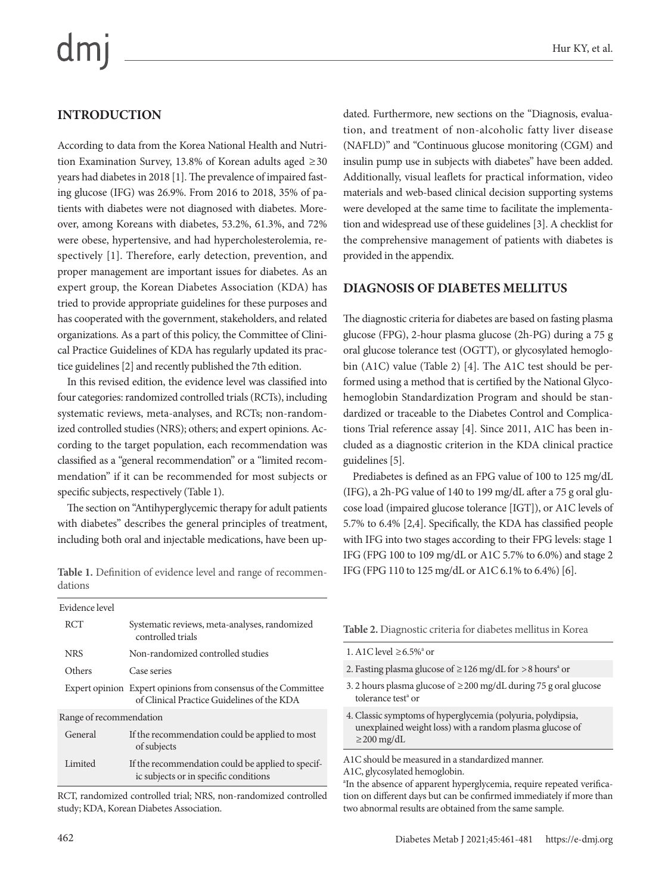## **INTRODUCTION**

According to data from the Korea National Health and Nutrition Examination Survey, 13.8% of Korean adults aged ≥30 years had diabetes in 2018 [1]. The prevalence of impaired fasting glucose (IFG) was 26.9%. From 2016 to 2018, 35% of patients with diabetes were not diagnosed with diabetes. Moreover, among Koreans with diabetes, 53.2%, 61.3%, and 72% were obese, hypertensive, and had hypercholesterolemia, respectively [1]. Therefore, early detection, prevention, and proper management are important issues for diabetes. As an expert group, the Korean Diabetes Association (KDA) has tried to provide appropriate guidelines for these purposes and has cooperated with the government, stakeholders, and related organizations. As a part of this policy, the Committee of Clinical Practice Guidelines of KDA has regularly updated its practice guidelines [2] and recently published the 7th edition.

In this revised edition, the evidence level was classified into four categories: randomized controlled trials (RCTs), including systematic reviews, meta-analyses, and RCTs; non-randomized controlled studies (NRS); others; and expert opinions. According to the target population, each recommendation was classified as a "general recommendation" or a "limited recommendation" if it can be recommended for most subjects or specific subjects, respectively (Table 1).

The section on "Antihyperglycemic therapy for adult patients with diabetes" describes the general principles of treatment, including both oral and injectable medications, have been up-

Table 1. Definition of evidence level and range of recommen-<br>IFG (FPG 110 to 125 mg/dL or A1C 6.1% to 6.4%) [6]. dations

| Evidence level          |                                                                                                              |  |  |  |
|-------------------------|--------------------------------------------------------------------------------------------------------------|--|--|--|
| <b>RCT</b>              | Systematic reviews, meta-analyses, randomized<br>controlled trials                                           |  |  |  |
| <b>NRS</b>              | Non-randomized controlled studies                                                                            |  |  |  |
| Others                  | Case series                                                                                                  |  |  |  |
|                         | Expert opinion Expert opinions from consensus of the Committee<br>of Clinical Practice Guidelines of the KDA |  |  |  |
| Range of recommendation |                                                                                                              |  |  |  |
| General                 | If the recommendation could be applied to most<br>of subjects                                                |  |  |  |
| Limited                 | If the recommendation could be applied to specif-<br>ic subjects or in specific conditions                   |  |  |  |

RCT, randomized controlled trial; NRS, non-randomized controlled study; KDA, Korean Diabetes Association.

dated. Furthermore, new sections on the "Diagnosis, evaluation, and treatment of non-alcoholic fatty liver disease (NAFLD)" and "Continuous glucose monitoring (CGM) and insulin pump use in subjects with diabetes" have been added. Additionally, visual leaflets for practical information, video materials and web-based clinical decision supporting systems were developed at the same time to facilitate the implementation and widespread use of these guidelines [3]. A checklist for the comprehensive management of patients with diabetes is provided in the appendix.

#### **DIAGNOSIS OF DIABETES MELLITUS**

The diagnostic criteria for diabetes are based on fasting plasma glucose (FPG), 2-hour plasma glucose (2h-PG) during a 75 g oral glucose tolerance test (OGTT), or glycosylated hemoglobin (A1C) value (Table 2) [4]. The A1C test should be performed using a method that is certified by the National Glycohemoglobin Standardization Program and should be standardized or traceable to the Diabetes Control and Complications Trial reference assay [4]. Since 2011, A1C has been included as a diagnostic criterion in the KDA clinical practice guidelines [5].

Prediabetes is defined as an FPG value of 100 to 125 mg/dL (IFG), a 2h-PG value of 140 to 199 mg/dL after a 75 g oral glucose load (impaired glucose tolerance [IGT]), or A1C levels of 5.7% to 6.4% [2,4]. Specifically, the KDA has classified people with IFG into two stages according to their FPG levels: stage 1 IFG (FPG 100 to 109 mg/dL or A1C 5.7% to 6.0%) and stage 2

**Table 2.** Diagnostic criteria for diabetes mellitus in Korea

- 1. A1C level  $\geq 6.5\%$ <sup>a</sup> or
- 2. Fasting plasma glucose of  $\geq$  126 mg/dL for >8 hours<sup>a</sup> or
- 3. 2 hours plasma glucose of ≥200 mg/dL during 75 g oral glucose tolerance test<sup>a</sup> or
- 4. Classic symptoms of hyperglycemia (polyuria, polydipsia, unexplained weight loss) with a random plasma glucose of  $\geq$ 200 mg/dL

A1C should be measured in a standardized manner. A1C, glycosylated hemoglobin.

a In the absence of apparent hyperglycemia, require repeated verification on different days but can be confirmed immediately if more than two abnormal results are obtained from the same sample.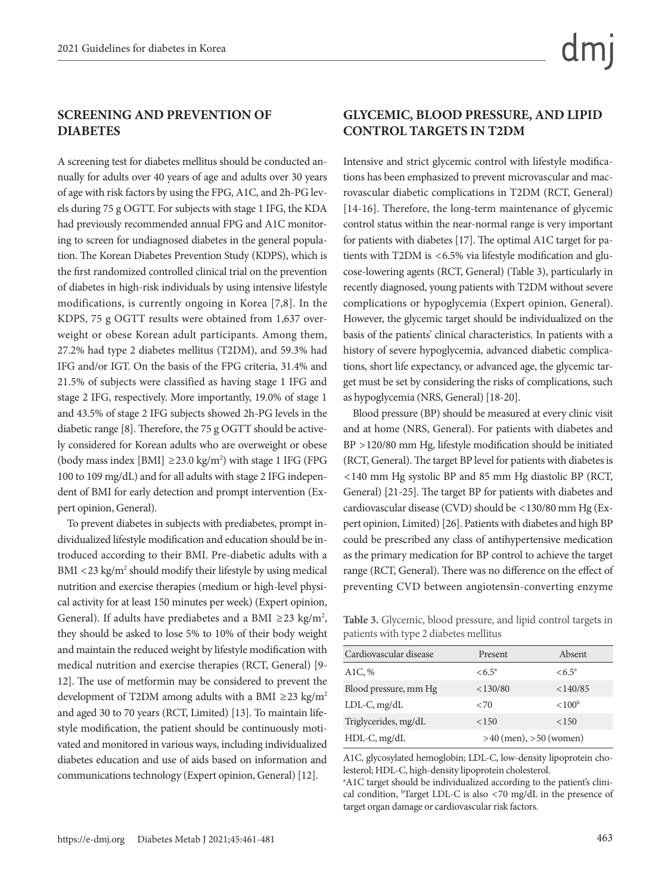#### **SCREENING AND PREVENTION OF DIABETES**

A screening test for diabetes mellitus should be conducted annually for adults over 40 years of age and adults over 30 years of age with risk factors by using the FPG, A1C, and 2h-PG levels during 75 g OGTT. For subjects with stage 1 IFG, the KDA had previously recommended annual FPG and A1C monitoring to screen for undiagnosed diabetes in the general population. The Korean Diabetes Prevention Study (KDPS), which is the first randomized controlled clinical trial on the prevention of diabetes in high-risk individuals by using intensive lifestyle modifications, is currently ongoing in Korea [7,8]. In the KDPS, 75 g OGTT results were obtained from 1,637 overweight or obese Korean adult participants. Among them, 27.2% had type 2 diabetes mellitus (T2DM), and 59.3% had IFG and/or IGT. On the basis of the FPG criteria, 31.4% and 21.5% of subjects were classified as having stage 1 IFG and stage 2 IFG, respectively. More importantly, 19.0% of stage 1 and 43.5% of stage 2 IFG subjects showed 2h-PG levels in the diabetic range [8]. Therefore, the 75 g OGTT should be actively considered for Korean adults who are overweight or obese (body mass index [BMI]  $\geq$ 23.0 kg/m<sup>2</sup>) with stage 1 IFG (FPG 100 to 109 mg/dL) and for all adults with stage 2 IFG independent of BMI for early detection and prompt intervention (Expert opinion, General).

To prevent diabetes in subjects with prediabetes, prompt individualized lifestyle modification and education should be introduced according to their BMI. Pre-diabetic adults with a BMI <23 kg/m<sup>2</sup> should modify their lifestyle by using medical nutrition and exercise therapies (medium or high-level physical activity for at least 150 minutes per week) (Expert opinion, General). If adults have prediabetes and a BMI  $\geq$ 23 kg/m<sup>2</sup>, they should be asked to lose 5% to 10% of their body weight and maintain the reduced weight by lifestyle modification with medical nutrition and exercise therapies (RCT, General) [9- 12]. The use of metformin may be considered to prevent the development of T2DM among adults with a BMI ≥23 kg/m<sup>2</sup> and aged 30 to 70 years (RCT, Limited) [13]. To maintain lifestyle modification, the patient should be continuously motivated and monitored in various ways, including individualized diabetes education and use of aids based on information and communications technology (Expert opinion, General) [12].

#### **GLYCEMIC, BLOOD PRESSURE, AND LIPID CONTROL TARGETS IN T2DM**

Intensive and strict glycemic control with lifestyle modifications has been emphasized to prevent microvascular and macrovascular diabetic complications in T2DM (RCT, General) [14-16]. Therefore, the long-term maintenance of glycemic control status within the near-normal range is very important for patients with diabetes [17]. The optimal A1C target for patients with T2DM is <6.5% via lifestyle modification and glucose-lowering agents (RCT, General) (Table 3), particularly in recently diagnosed, young patients with T2DM without severe complications or hypoglycemia (Expert opinion, General). However, the glycemic target should be individualized on the basis of the patients' clinical characteristics. In patients with a history of severe hypoglycemia, advanced diabetic complications, short life expectancy, or advanced age, the glycemic target must be set by considering the risks of complications, such as hypoglycemia (NRS, General) [18-20].

Blood pressure (BP) should be measured at every clinic visit and at home (NRS, General). For patients with diabetes and BP >120/80 mm Hg, lifestyle modification should be initiated (RCT, General). The target BP level for patients with diabetes is <140 mm Hg systolic BP and 85 mm Hg diastolic BP (RCT, General) [21-25]. The target BP for patients with diabetes and cardiovascular disease (CVD) should be <130/80 mm Hg (Expert opinion, Limited) [26]. Patients with diabetes and high BP could be prescribed any class of antihypertensive medication as the primary medication for BP control to achieve the target range (RCT, General). There was no difference on the effect of preventing CVD between angiotensin-converting enzyme

**Table 3.** Glycemic, blood pressure, and lipid control targets in patients with type 2 diabetes mellitus

| Cardiovascular disease | Present                    | Absent             |
|------------------------|----------------------------|--------------------|
| A <sub>1</sub> C, $%$  | $\le 6.5^{\circ}$          | $\le 6.5^{\circ}$  |
| Blood pressure, mm Hg  | < 130/80                   | < 140/85           |
| $LDL-C, mg/dL$         | ${<}70$                    | < 100 <sup>b</sup> |
| Triglycerides, mg/dL   | <150                       | < 150              |
| HDL-C, mg/dL           | $>40$ (men), $>50$ (women) |                    |

A1C, glycosylated hemoglobin; LDL-C, low-density lipoprotein cholesterol; HDL-C, high-density lipoprotein cholesterol.

<sup>a</sup>A1C target should be individualized according to the patient's clinical condition,  $b$ Target LDL-C is also <70 mg/dL in the presence of target organ damage or cardiovascular risk factors.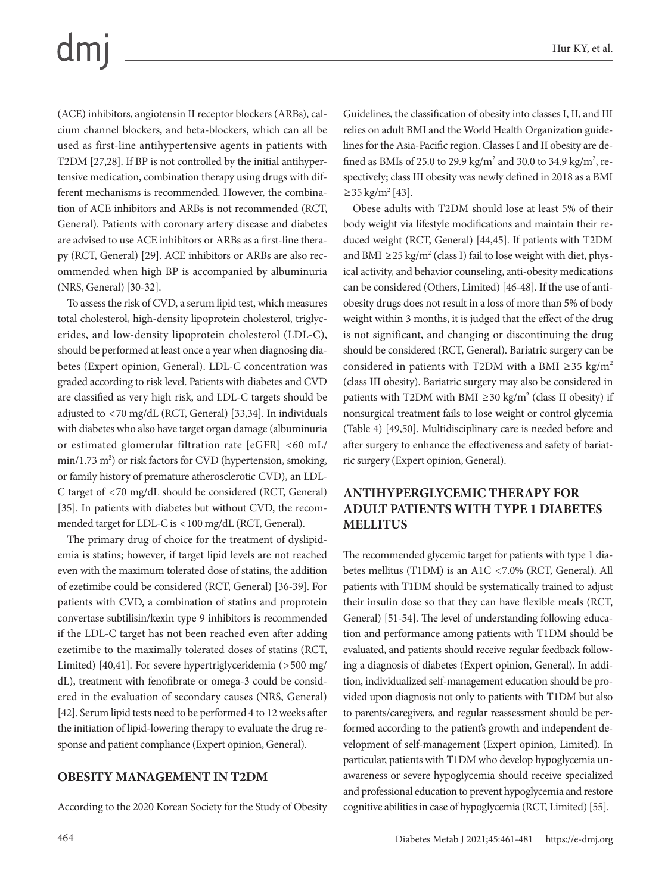(ACE) inhibitors, angiotensin II receptor blockers (ARBs), calcium channel blockers, and beta-blockers, which can all be used as first-line antihypertensive agents in patients with T2DM [27,28]. If BP is not controlled by the initial antihypertensive medication, combination therapy using drugs with different mechanisms is recommended. However, the combination of ACE inhibitors and ARBs is not recommended (RCT, General). Patients with coronary artery disease and diabetes are advised to use ACE inhibitors or ARBs as a first-line therapy (RCT, General) [29]. ACE inhibitors or ARBs are also recommended when high BP is accompanied by albuminuria (NRS, General) [30-32].

To assess the risk of CVD, a serum lipid test, which measures total cholesterol, high-density lipoprotein cholesterol, triglycerides, and low-density lipoprotein cholesterol (LDL-C), should be performed at least once a year when diagnosing diabetes (Expert opinion, General). LDL-C concentration was graded according to risk level. Patients with diabetes and CVD are classified as very high risk, and LDL-C targets should be adjusted to <70 mg/dL (RCT, General) [33,34]. In individuals with diabetes who also have target organ damage (albuminuria or estimated glomerular filtration rate [eGFR] <60 mL/ min/1.73 m<sup>2</sup>) or risk factors for CVD (hypertension, smoking, or family history of premature atherosclerotic CVD), an LDL-C target of <70 mg/dL should be considered (RCT, General) [35]. In patients with diabetes but without CVD, the recommended target for LDL-C is <100 mg/dL (RCT, General).

The primary drug of choice for the treatment of dyslipidemia is statins; however, if target lipid levels are not reached even with the maximum tolerated dose of statins, the addition of ezetimibe could be considered (RCT, General) [36-39]. For patients with CVD, a combination of statins and proprotein convertase subtilisin/kexin type 9 inhibitors is recommended if the LDL-C target has not been reached even after adding ezetimibe to the maximally tolerated doses of statins (RCT, Limited) [40,41]. For severe hypertriglyceridemia (>500 mg/ dL), treatment with fenofibrate or omega-3 could be considered in the evaluation of secondary causes (NRS, General) [42]. Serum lipid tests need to be performed 4 to 12 weeks after the initiation of lipid-lowering therapy to evaluate the drug response and patient compliance (Expert opinion, General).

#### **OBESITY MANAGEMENT IN T2DM**

According to the 2020 Korean Society for the Study of Obesity

Guidelines, the classification of obesity into classes I, II, and III relies on adult BMI and the World Health Organization guidelines for the Asia-Pacific region. Classes I and II obesity are defined as BMIs of 25.0 to 29.9 kg/m<sup>2</sup> and 30.0 to 34.9 kg/m<sup>2</sup>, respectively; class III obesity was newly defined in 2018 as a BMI  $≥35 \text{ kg/m}^2 [43]$ .

Obese adults with T2DM should lose at least 5% of their body weight via lifestyle modifications and maintain their reduced weight (RCT, General) [44,45]. If patients with T2DM and BMI ≥25 kg/m<sup>2</sup> (class I) fail to lose weight with diet, physical activity, and behavior counseling, anti-obesity medications can be considered (Others, Limited) [46-48]. If the use of antiobesity drugs does not result in a loss of more than 5% of body weight within 3 months, it is judged that the effect of the drug is not significant, and changing or discontinuing the drug should be considered (RCT, General). Bariatric surgery can be considered in patients with T2DM with a BMI ≥35 kg/m<sup>2</sup> (class III obesity). Bariatric surgery may also be considered in patients with T2DM with BMI  $\geq$ 30 kg/m<sup>2</sup> (class II obesity) if nonsurgical treatment fails to lose weight or control glycemia (Table 4) [49,50]. Multidisciplinary care is needed before and after surgery to enhance the effectiveness and safety of bariatric surgery (Expert opinion, General).

#### **ANTIHYPERGLYCEMIC THERAPY FOR ADULT PATIENTS WITH TYPE 1 DIABETES MELLITUS**

The recommended glycemic target for patients with type 1 diabetes mellitus (T1DM) is an A1C <7.0% (RCT, General). All patients with T1DM should be systematically trained to adjust their insulin dose so that they can have flexible meals (RCT, General) [51-54]. The level of understanding following education and performance among patients with T1DM should be evaluated, and patients should receive regular feedback following a diagnosis of diabetes (Expert opinion, General). In addition, individualized self-management education should be provided upon diagnosis not only to patients with T1DM but also to parents/caregivers, and regular reassessment should be performed according to the patient's growth and independent development of self-management (Expert opinion, Limited). In particular, patients with T1DM who develop hypoglycemia unawareness or severe hypoglycemia should receive specialized and professional education to prevent hypoglycemia and restore cognitive abilities in case of hypoglycemia (RCT, Limited) [55].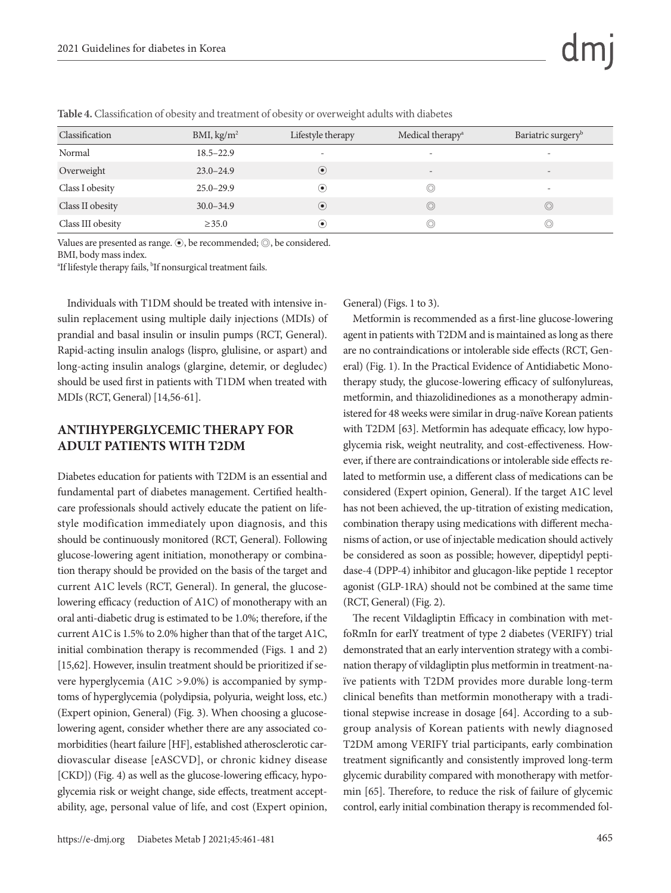| Classification    | BMI, kg/m <sup>2</sup> | Lifestyle therapy           | Medical therapy <sup>a</sup> | Bariatric surgery <sup>b</sup> |
|-------------------|------------------------|-----------------------------|------------------------------|--------------------------------|
| Normal            | $18.5 - 22.9$          | $\overline{\phantom{a}}$    | $\overline{\phantom{a}}$     |                                |
| Overweight        | $23.0 - 24.9$          | $\circled{\hspace{-.15cm}}$ |                              |                                |
| Class I obesity   | $25.0 - 29.9$          | $\bf{(\bullet)}$            | $\circledcirc$               | $\overline{\phantom{a}}$       |
| Class II obesity  | $30.0 - 34.9$          | $\circled{\hspace{-.15cm}}$ | $\circledcirc$               | $\odot$                        |
| Class III obesity | $\geq 35.0$            | $\left( \bullet \right)$    | $\circledcirc$               | $\circledcirc$                 |

**Table 4.** Classification of obesity and treatment of obesity or overweight adults with diabetes

Values are presented as range. ⊙, be recommended; ◎, be considered.

BMI, body mass index.

<sup>a</sup>If lifestyle therapy fails, <sup>b</sup>If nonsurgical treatment fails.

Individuals with T1DM should be treated with intensive insulin replacement using multiple daily injections (MDIs) of prandial and basal insulin or insulin pumps (RCT, General). Rapid-acting insulin analogs (lispro, glulisine, or aspart) and long-acting insulin analogs (glargine, detemir, or degludec) should be used first in patients with T1DM when treated with MDIs (RCT, General) [14,56-61].

#### **ANTIHYPERGLYCEMIC THERAPY FOR ADULT PATIENTS WITH T2DM**

Diabetes education for patients with T2DM is an essential and fundamental part of diabetes management. Certified healthcare professionals should actively educate the patient on lifestyle modification immediately upon diagnosis, and this should be continuously monitored (RCT, General). Following glucose-lowering agent initiation, monotherapy or combination therapy should be provided on the basis of the target and current A1C levels (RCT, General). In general, the glucoselowering efficacy (reduction of A1C) of monotherapy with an oral anti-diabetic drug is estimated to be 1.0%; therefore, if the current A1C is 1.5% to 2.0% higher than that of the target A1C, initial combination therapy is recommended (Figs. 1 and 2) [15,62]. However, insulin treatment should be prioritized if severe hyperglycemia (A1C >9.0%) is accompanied by symptoms of hyperglycemia (polydipsia, polyuria, weight loss, etc.) (Expert opinion, General) (Fig. 3). When choosing a glucoselowering agent, consider whether there are any associated comorbidities (heart failure [HF], established atherosclerotic cardiovascular disease [eASCVD], or chronic kidney disease [CKD]) (Fig. 4) as well as the glucose-lowering efficacy, hypoglycemia risk or weight change, side effects, treatment acceptability, age, personal value of life, and cost (Expert opinion, General) (Figs. 1 to 3).

Metformin is recommended as a first-line glucose-lowering agent in patients with T2DM and is maintained as long as there are no contraindications or intolerable side effects (RCT, General) (Fig. 1). In the Practical Evidence of Antidiabetic Monotherapy study, the glucose-lowering efficacy of sulfonylureas, metformin, and thiazolidinediones as a monotherapy administered for 48 weeks were similar in drug-naïve Korean patients with T2DM [63]. Metformin has adequate efficacy, low hypoglycemia risk, weight neutrality, and cost-effectiveness. However, if there are contraindications or intolerable side effects related to metformin use, a different class of medications can be considered (Expert opinion, General). If the target A1C level has not been achieved, the up-titration of existing medication, combination therapy using medications with different mechanisms of action, or use of injectable medication should actively be considered as soon as possible; however, dipeptidyl peptidase-4 (DPP-4) inhibitor and glucagon-like peptide 1 receptor agonist (GLP-1RA) should not be combined at the same time (RCT, General) (Fig. 2).

The recent Vildagliptin Efficacy in combination with metfoRmIn for earlY treatment of type 2 diabetes (VERIFY) trial demonstrated that an early intervention strategy with a combination therapy of vildagliptin plus metformin in treatment-naïve patients with T2DM provides more durable long-term clinical benefits than metformin monotherapy with a traditional stepwise increase in dosage [64]. According to a subgroup analysis of Korean patients with newly diagnosed T2DM among VERIFY trial participants, early combination treatment significantly and consistently improved long-term glycemic durability compared with monotherapy with metformin [65]. Therefore, to reduce the risk of failure of glycemic control, early initial combination therapy is recommended fol-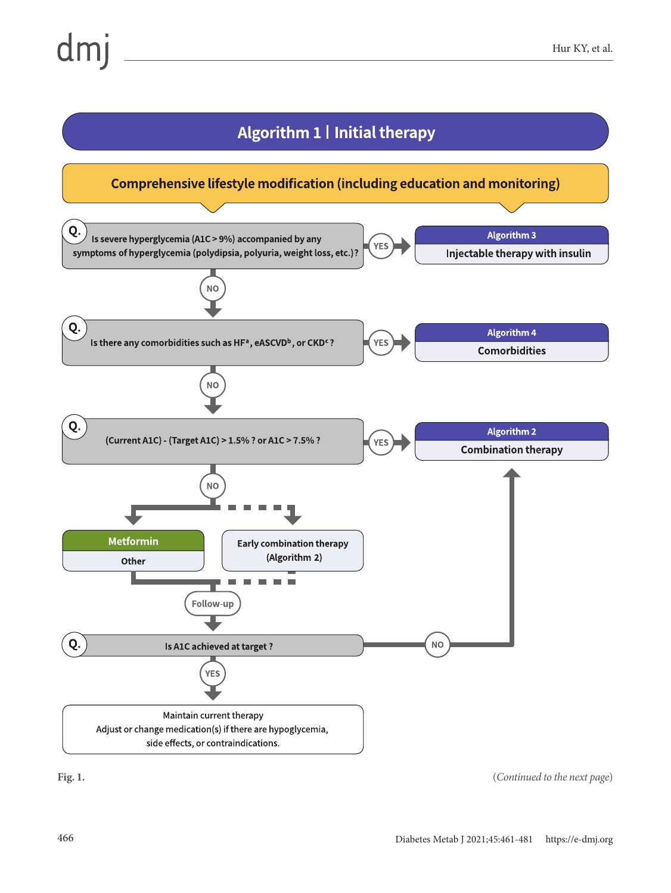

**Fig. 1.** (*Continued to the next page*)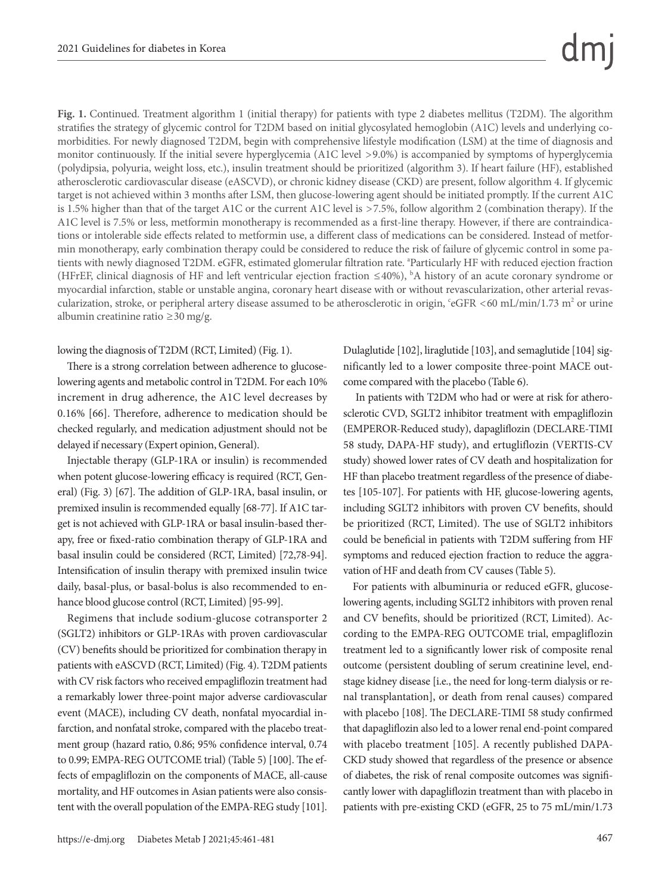**Fig. 1.** Continued. Treatment algorithm 1 (initial therapy) for patients with type 2 diabetes mellitus (T2DM). The algorithm stratifies the strategy of glycemic control for T2DM based on initial glycosylated hemoglobin (A1C) levels and underlying comorbidities. For newly diagnosed T2DM, begin with comprehensive lifestyle modification (LSM) at the time of diagnosis and monitor continuously. If the initial severe hyperglycemia (A1C level >9.0%) is accompanied by symptoms of hyperglycemia (polydipsia, polyuria, weight loss, etc.), insulin treatment should be prioritized (algorithm 3). If heart failure (HF), established atherosclerotic cardiovascular disease (eASCVD), or chronic kidney disease (CKD) are present, follow algorithm 4. If glycemic target is not achieved within 3 months after LSM, then glucose-lowering agent should be initiated promptly. If the current A1C is 1.5% higher than that of the target A1C or the current A1C level is >7.5%, follow algorithm 2 (combination therapy). If the A1C level is 7.5% or less, metformin monotherapy is recommended as a first-line therapy. However, if there are contraindications or intolerable side effects related to metformin use, a different class of medications can be considered. Instead of metformin monotherapy, early combination therapy could be considered to reduce the risk of failure of glycemic control in some patients with newly diagnosed T2DM. eGFR, estimated glomerular filtration rate. <sup>a</sup>Particularly HF with reduced ejection fraction (HFrEF, clinical diagnosis of HF and left ventricular ejection fraction ≤40%), b A history of an acute coronary syndrome or myocardial infarction, stable or unstable angina, coronary heart disease with or without revascularization, other arterial revascularization, stroke, or peripheral artery disease assumed to be atherosclerotic in origin, 'eGFR <60 mL/min/1.73 m<sup>2</sup> or urine albumin creatinine ratio ≥30 mg/g.

#### lowing the diagnosis of T2DM (RCT, Limited) (Fig. 1).

There is a strong correlation between adherence to glucoselowering agents and metabolic control in T2DM. For each 10% increment in drug adherence, the A1C level decreases by 0.16% [66]. Therefore, adherence to medication should be checked regularly, and medication adjustment should not be delayed if necessary (Expert opinion, General).

Injectable therapy (GLP-1RA or insulin) is recommended when potent glucose-lowering efficacy is required (RCT, General) (Fig. 3) [67]. The addition of GLP-1RA, basal insulin, or premixed insulin is recommended equally [68-77]. If A1C target is not achieved with GLP-1RA or basal insulin-based therapy, free or fixed-ratio combination therapy of GLP-1RA and basal insulin could be considered (RCT, Limited) [72,78-94]. Intensification of insulin therapy with premixed insulin twice daily, basal-plus, or basal-bolus is also recommended to enhance blood glucose control (RCT, Limited) [95-99].

Regimens that include sodium-glucose cotransporter 2 (SGLT2) inhibitors or GLP-1RAs with proven cardiovascular (CV) benefits should be prioritized for combination therapy in patients with eASCVD (RCT, Limited) (Fig. 4). T2DM patients with CV risk factors who received empagliflozin treatment had a remarkably lower three-point major adverse cardiovascular event (MACE), including CV death, nonfatal myocardial infarction, and nonfatal stroke, compared with the placebo treatment group (hazard ratio, 0.86; 95% confidence interval, 0.74 to 0.99; EMPA-REG OUTCOME trial) (Table 5) [100]. The effects of empagliflozin on the components of MACE, all-cause mortality, and HF outcomes in Asian patients were also consistent with the overall population of the EMPA-REG study [101].

Dulaglutide [102], liraglutide [103], and semaglutide [104] significantly led to a lower composite three-point MACE outcome compared with the placebo (Table 6).

 In patients with T2DM who had or were at risk for atherosclerotic CVD, SGLT2 inhibitor treatment with empagliflozin (EMPEROR-Reduced study), dapagliflozin (DECLARE-TIMI 58 study, DAPA-HF study), and ertugliflozin (VERTIS-CV study) showed lower rates of CV death and hospitalization for HF than placebo treatment regardless of the presence of diabetes [105-107]. For patients with HF, glucose-lowering agents, including SGLT2 inhibitors with proven CV benefits, should be prioritized (RCT, Limited). The use of SGLT2 inhibitors could be beneficial in patients with T2DM suffering from HF symptoms and reduced ejection fraction to reduce the aggravation of HF and death from CV causes (Table 5).

For patients with albuminuria or reduced eGFR, glucoselowering agents, including SGLT2 inhibitors with proven renal and CV benefits, should be prioritized (RCT, Limited). According to the EMPA-REG OUTCOME trial, empagliflozin treatment led to a significantly lower risk of composite renal outcome (persistent doubling of serum creatinine level, endstage kidney disease [i.e., the need for long-term dialysis or renal transplantation], or death from renal causes) compared with placebo [108]. The DECLARE-TIMI 58 study confirmed that dapagliflozin also led to a lower renal end-point compared with placebo treatment [105]. A recently published DAPA-CKD study showed that regardless of the presence or absence of diabetes, the risk of renal composite outcomes was significantly lower with dapagliflozin treatment than with placebo in patients with pre-existing CKD (eGFR, 25 to 75 mL/min/1.73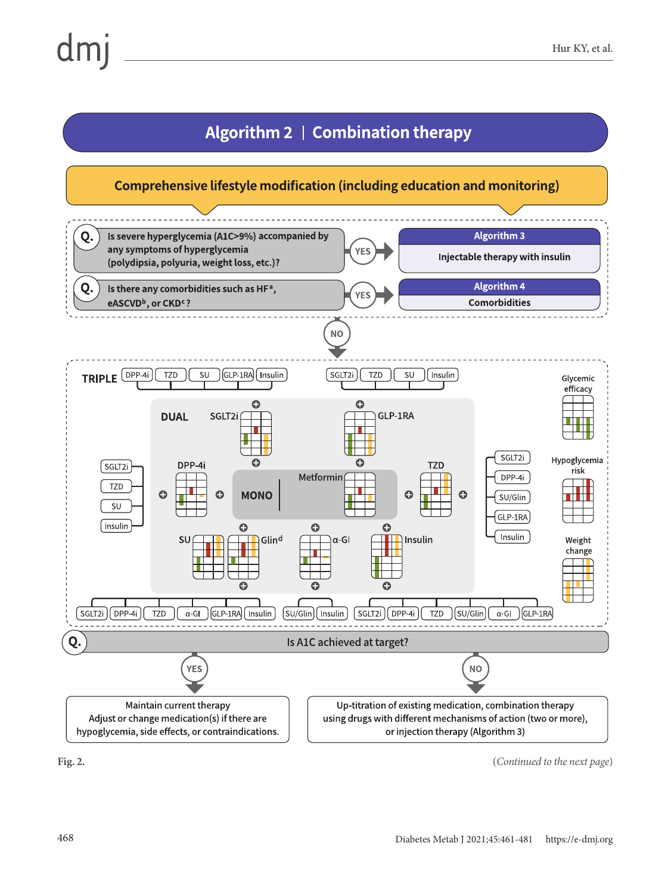# Algorithm 2 | Combination therapy

# Comprehensive lifestyle modification (including education and monitoring)



**Fig. 2.** (*Continued to the next page*)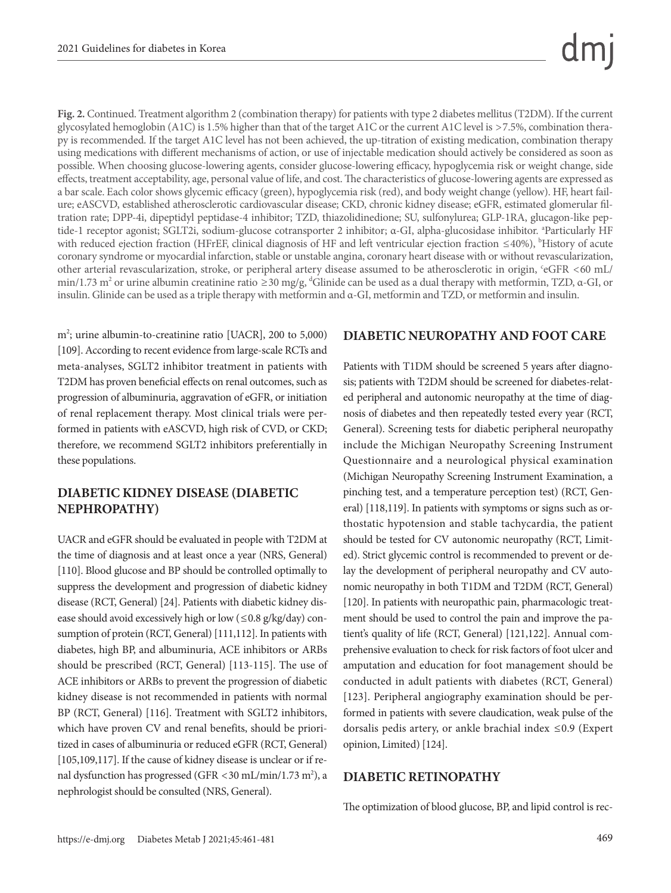**Fig. 2.** Continued. Treatment algorithm 2 (combination therapy) for patients with type 2 diabetes mellitus (T2DM). If the current glycosylated hemoglobin (A1C) is 1.5% higher than that of the target A1C or the current A1C level is >7.5%, combination therapy is recommended. If the target A1C level has not been achieved, the up-titration of existing medication, combination therapy using medications with different mechanisms of action, or use of injectable medication should actively be considered as soon as possible. When choosing glucose-lowering agents, consider glucose-lowering efficacy, hypoglycemia risk or weight change, side effects, treatment acceptability, age, personal value of life, and cost. The characteristics of glucose-lowering agents are expressed as a bar scale. Each color shows glycemic efficacy (green), hypoglycemia risk (red), and body weight change (yellow). HF, heart failure; eASCVD, established atherosclerotic cardiovascular disease; CKD, chronic kidney disease; eGFR, estimated glomerular filtration rate; DPP-4i, dipeptidyl peptidase-4 inhibitor; TZD, thiazolidinedione; SU, sulfonylurea; GLP-1RA, glucagon-like peptide-1 receptor agonist; SGLT2i, sodium-glucose cotransporter 2 inhibitor; α-GI, alpha-glucosidase inhibitor. <sup>a</sup>Particularly HF with reduced ejection fraction (HFrEF, clinical diagnosis of HF and left ventricular ejection fraction ≤40%), <sup>b</sup>History of acute coronary syndrome or myocardial infarction, stable or unstable angina, coronary heart disease with or without revascularization, other arterial revascularization, stroke, or peripheral artery disease assumed to be atherosclerotic in origin, 'eGFR <60 mL/ min/1.73 m<sup>2</sup> or urine albumin creatinine ratio  $\geq$ 30 mg/g, <sup>d</sup>Glinide can be used as a dual therapy with metformin, TZD,  $\alpha$ -GI, or insulin. Glinide can be used as a triple therapy with metformin and α-GI, metformin and TZD, or metformin and insulin.

m<sup>2</sup>; urine albumin-to-creatinine ratio [UACR], 200 to 5,000) [109]. According to recent evidence from large-scale RCTs and meta-analyses, SGLT2 inhibitor treatment in patients with T2DM has proven beneficial effects on renal outcomes, such as progression of albuminuria, aggravation of eGFR, or initiation of renal replacement therapy. Most clinical trials were performed in patients with eASCVD, high risk of CVD, or CKD; therefore, we recommend SGLT2 inhibitors preferentially in these populations.

#### **DIABETIC KIDNEY DISEASE (DIABETIC NEPHROPATHY)**

UACR and eGFR should be evaluated in people with T2DM at the time of diagnosis and at least once a year (NRS, General) [110]. Blood glucose and BP should be controlled optimally to suppress the development and progression of diabetic kidney disease (RCT, General) [24]. Patients with diabetic kidney disease should avoid excessively high or low ( $\leq 0.8$  g/kg/day) consumption of protein (RCT, General) [111,112]. In patients with diabetes, high BP, and albuminuria, ACE inhibitors or ARBs should be prescribed (RCT, General) [113-115]. The use of ACE inhibitors or ARBs to prevent the progression of diabetic kidney disease is not recommended in patients with normal BP (RCT, General) [116]. Treatment with SGLT2 inhibitors, which have proven CV and renal benefits, should be prioritized in cases of albuminuria or reduced eGFR (RCT, General) [105,109,117]. If the cause of kidney disease is unclear or if renal dysfunction has progressed (GFR < 30 mL/min/1.73 m<sup>2</sup>), a nephrologist should be consulted (NRS, General).

#### **DIABETIC NEUROPATHY AND FOOT CARE**

Patients with T1DM should be screened 5 years after diagnosis; patients with T2DM should be screened for diabetes-related peripheral and autonomic neuropathy at the time of diagnosis of diabetes and then repeatedly tested every year (RCT, General). Screening tests for diabetic peripheral neuropathy include the Michigan Neuropathy Screening Instrument Questionnaire and a neurological physical examination (Michigan Neuropathy Screening Instrument Examination, a pinching test, and a temperature perception test) (RCT, General) [118,119]. In patients with symptoms or signs such as orthostatic hypotension and stable tachycardia, the patient should be tested for CV autonomic neuropathy (RCT, Limited). Strict glycemic control is recommended to prevent or delay the development of peripheral neuropathy and CV autonomic neuropathy in both T1DM and T2DM (RCT, General) [120]. In patients with neuropathic pain, pharmacologic treatment should be used to control the pain and improve the patient's quality of life (RCT, General) [121,122]. Annual comprehensive evaluation to check for risk factors of foot ulcer and amputation and education for foot management should be conducted in adult patients with diabetes (RCT, General) [123]. Peripheral angiography examination should be performed in patients with severe claudication, weak pulse of the dorsalis pedis artery, or ankle brachial index ≤0.9 (Expert opinion, Limited) [124].

#### **DIABETIC RETINOPATHY**

The optimization of blood glucose, BP, and lipid control is rec-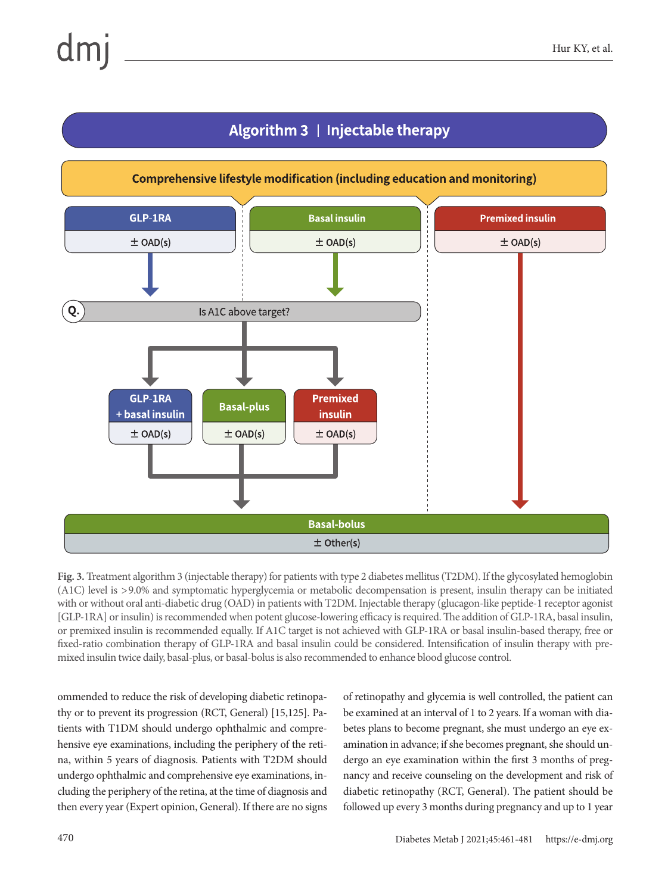# Algorithm 3 | Injectable therapy



**Fig. 3.** Treatment algorithm 3 (injectable therapy) for patients with type 2 diabetes mellitus (T2DM). If the glycosylated hemoglobin (A1C) level is >9.0% and symptomatic hyperglycemia or metabolic decompensation is present, insulin therapy can be initiated with or without oral anti-diabetic drug (OAD) in patients with T2DM. Injectable therapy (glucagon-like peptide-1 receptor agonist [GLP-1RA] or insulin) is recommended when potent glucose-lowering efficacy is required. The addition of GLP-1RA, basal insulin, or premixed insulin is recommended equally. If A1C target is not achieved with GLP-1RA or basal insulin-based therapy, free or fixed-ratio combination therapy of GLP-1RA and basal insulin could be considered. Intensification of insulin therapy with premixed insulin twice daily, basal-plus, or basal-bolus is also recommended to enhance blood glucose control.

ommended to reduce the risk of developing diabetic retinopathy or to prevent its progression (RCT, General) [15,125]. Patients with T1DM should undergo ophthalmic and comprehensive eye examinations, including the periphery of the retina, within 5 years of diagnosis. Patients with T2DM should undergo ophthalmic and comprehensive eye examinations, including the periphery of the retina, at the time of diagnosis and then every year (Expert opinion, General). If there are no signs

of retinopathy and glycemia is well controlled, the patient can be examined at an interval of 1 to 2 years. If a woman with diabetes plans to become pregnant, she must undergo an eye examination in advance; if she becomes pregnant, she should undergo an eye examination within the first 3 months of pregnancy and receive counseling on the development and risk of diabetic retinopathy (RCT, General). The patient should be followed up every 3 months during pregnancy and up to 1 year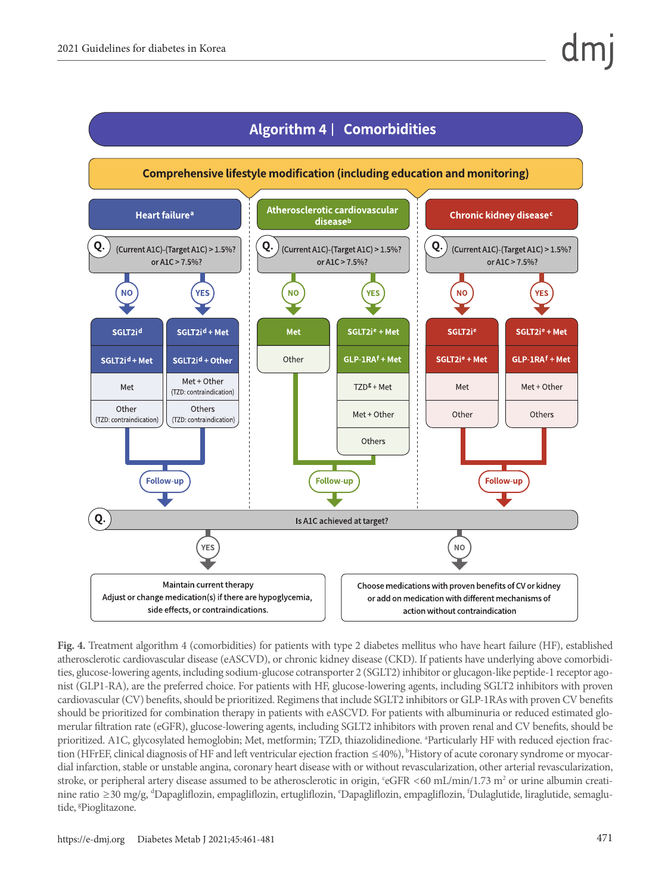

**Fig. 4.** Treatment algorithm 4 (comorbidities) for patients with type 2 diabetes mellitus who have heart failure (HF), established atherosclerotic cardiovascular disease (eASCVD), or chronic kidney disease (CKD). If patients have underlying above comorbidities, glucose-lowering agents, including sodium-glucose cotransporter 2 (SGLT2) inhibitor or glucagon-like peptide-1 receptor agonist (GLP1-RA), are the preferred choice. For patients with HF, glucose-lowering agents, including SGLT2 inhibitors with proven cardiovascular (CV) benefits, should be prioritized. Regimens that include SGLT2 inhibitors or GLP-1RAs with proven CV benefits should be prioritized for combination therapy in patients with eASCVD. For patients with albuminuria or reduced estimated glomerular filtration rate (eGFR), glucose-lowering agents, including SGLT2 inhibitors with proven renal and CV benefits, should be prioritized. A1C, glycosylated hemoglobin; Met, metformin; TZD, thiazolidinedione. <sup>a</sup>Particularly HF with reduced ejection fraction (HFrEF, clinical diagnosis of HF and left ventricular ejection fraction ≤40%), <sup>b</sup>History of acute coronary syndrome or myocardial infarction, stable or unstable angina, coronary heart disease with or without revascularization, other arterial revascularization, stroke, or peripheral artery disease assumed to be atherosclerotic in origin, 'eGFR <60 mL/min/1.73 m<sup>2</sup> or urine albumin creatinine ratio ≥30 mg/g, <sup>d</sup>Dapagliflozin, empagliflozin, ertugliflozin, <sup>e</sup>Dapagliflozin, empagliflozin, <sup>f</sup>Dulaglutide, liraglutide, semaglutide, <sup>g</sup>Pioglitazone.

#### https://e-dmj.org Diabetes Metab J 2021;45:461-481 471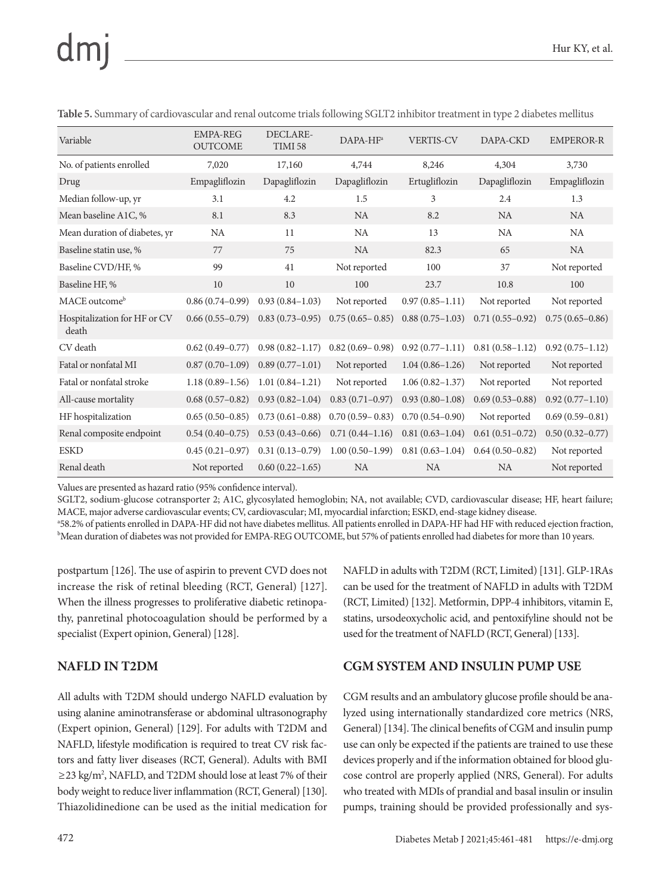| Variable                              | <b>EMPA-REG</b><br><b>OUTCOME</b> | DECLARE-<br>TIMI 58 | $DAPA-HFa$          | <b>VERTIS-CV</b>    | DAPA-CKD            | <b>EMPEROR-R</b>    |
|---------------------------------------|-----------------------------------|---------------------|---------------------|---------------------|---------------------|---------------------|
| No. of patients enrolled              | 7,020                             | 17,160              | 4,744               | 8,246               | 4,304               | 3,730               |
| Drug                                  | Empagliflozin                     | Dapagliflozin       | Dapagliflozin       | Ertugliflozin       | Dapagliflozin       | Empagliflozin       |
| Median follow-up, yr                  | 3.1                               | 4.2                 | 1.5                 | 3                   | 2.4                 | 1.3                 |
| Mean baseline A1C, %                  | 8.1                               | 8.3                 | <b>NA</b>           | 8.2                 | <b>NA</b>           | <b>NA</b>           |
| Mean duration of diabetes, yr         | <b>NA</b>                         | 11                  | NA                  | 13                  | NA                  | NA                  |
| Baseline statin use, %                | 77                                | 75                  | <b>NA</b>           | 82.3                | 65                  | <b>NA</b>           |
| Baseline CVD/HF, %                    | 99                                | 41                  | Not reported        | 100                 | 37                  | Not reported        |
| Baseline HF, %                        | 10                                | 10                  | 100                 | 23.7                | 10.8                | 100                 |
| MACE outcome <sup>b</sup>             | $0.86(0.74-0.99)$                 | $0.93(0.84 - 1.03)$ | Not reported        | $0.97(0.85 - 1.11)$ | Not reported        | Not reported        |
| Hospitalization for HF or CV<br>death | $0.66(0.55-0.79)$                 | $0.83(0.73-0.95)$   | $0.75(0.65 - 0.85)$ | $0.88(0.75-1.03)$   | $0.71(0.55 - 0.92)$ | $0.75(0.65 - 0.86)$ |
| CV death                              | $0.62(0.49 - 0.77)$               | $0.98(0.82 - 1.17)$ | $0.82(0.69 - 0.98)$ | $0.92(0.77 - 1.11)$ | $0.81(0.58 - 1.12)$ | $0.92(0.75 - 1.12)$ |
| Fatal or nonfatal MI                  | $0.87(0.70-1.09)$                 | $0.89(0.77-1.01)$   | Not reported        | $1.04(0.86 - 1.26)$ | Not reported        | Not reported        |
| Fatal or nonfatal stroke              | $1.18(0.89 - 1.56)$               | $1.01(0.84 - 1.21)$ | Not reported        | $1.06(0.82 - 1.37)$ | Not reported        | Not reported        |
| All-cause mortality                   | $0.68(0.57-0.82)$                 | $0.93(0.82 - 1.04)$ | $0.83(0.71-0.97)$   | $0.93(0.80 - 1.08)$ | $0.69(0.53 - 0.88)$ | $0.92(0.77 - 1.10)$ |
| HF hospitalization                    | $0.65(0.50-0.85)$                 | $0.73(0.61 - 0.88)$ | $0.70(0.59 - 0.83)$ | $0.70(0.54 - 0.90)$ | Not reported        | $0.69(0.59 - 0.81)$ |
| Renal composite endpoint              | $0.54(0.40-0.75)$                 | $0.53(0.43 - 0.66)$ | $0.71(0.44 - 1.16)$ | $0.81(0.63 - 1.04)$ | $0.61(0.51-0.72)$   | $0.50(0.32 - 0.77)$ |
| <b>ESKD</b>                           | $0.45(0.21-0.97)$                 | $0.31(0.13 - 0.79)$ | $1.00(0.50-1.99)$   | $0.81(0.63 - 1.04)$ | $0.64(0.50-0.82)$   | Not reported        |
| Renal death                           | Not reported                      | $0.60(0.22 - 1.65)$ | <b>NA</b>           | <b>NA</b>           | <b>NA</b>           | Not reported        |

**Table 5.** Summary of cardiovascular and renal outcome trials following SGLT2 inhibitor treatment in type 2 diabetes mellitus

Values are presented as hazard ratio (95% confidence interval).

SGLT2, sodium-glucose cotransporter 2; A1C, glycosylated hemoglobin; NA, not available; CVD, cardiovascular disease; HF, heart failure; MACE, major adverse cardiovascular events; CV, cardiovascular; MI, myocardial infarction; ESKD, end-stage kidney disease.

a 58.2% of patients enrolled in DAPA-HF did not have diabetes mellitus. All patients enrolled in DAPA-HF had HF with reduced ejection fraction, b Mean duration of diabetes was not provided for EMPA-REG OUTCOME, but 57% of patients enrolled had diabetes for more than 10 years.

postpartum [126]. The use of aspirin to prevent CVD does not increase the risk of retinal bleeding (RCT, General) [127]. When the illness progresses to proliferative diabetic retinopathy, panretinal photocoagulation should be performed by a specialist (Expert opinion, General) [128].

## **NAFLD IN T2DM**

All adults with T2DM should undergo NAFLD evaluation by using alanine aminotransferase or abdominal ultrasonography (Expert opinion, General) [129]. For adults with T2DM and NAFLD, lifestyle modification is required to treat CV risk factors and fatty liver diseases (RCT, General). Adults with BMI ≥23 kg/m2 , NAFLD, and T2DM should lose at least 7% of their body weight to reduce liver inflammation (RCT, General) [130]. Thiazolidinedione can be used as the initial medication for

NAFLD in adults with T2DM (RCT, Limited) [131]. GLP-1RAs can be used for the treatment of NAFLD in adults with T2DM (RCT, Limited) [132]. Metformin, DPP-4 inhibitors, vitamin E, statins, ursodeoxycholic acid, and pentoxifyline should not be used for the treatment of NAFLD (RCT, General) [133].

## **CGM SYSTEM AND INSULIN PUMP USE**

CGM results and an ambulatory glucose profile should be analyzed using internationally standardized core metrics (NRS, General) [134]. The clinical benefits of CGM and insulin pump use can only be expected if the patients are trained to use these devices properly and if the information obtained for blood glucose control are properly applied (NRS, General). For adults who treated with MDIs of prandial and basal insulin or insulin pumps, training should be provided professionally and sys-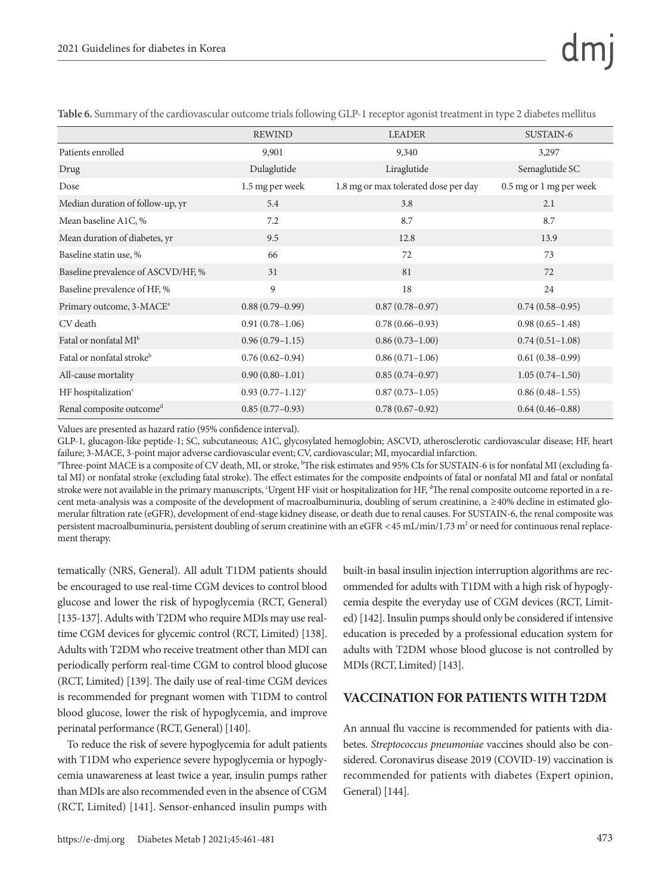|                                       | <b>REWIND</b>       | <b>LEADER</b>                        | SUSTAIN-6               |
|---------------------------------------|---------------------|--------------------------------------|-------------------------|
| Patients enrolled                     | 9,901               | 9,340                                | 3,297                   |
| Drug                                  | Dulaglutide         | Liraglutide                          | Semaglutide SC          |
| Dose                                  | 1.5 mg per week     | 1.8 mg or max tolerated dose per day | 0.5 mg or 1 mg per week |
| Median duration of follow-up, yr      | 5.4                 | 3.8                                  | 2.1                     |
| Mean baseline A1C, %                  | 7.2                 | 8.7                                  | 8.7                     |
| Mean duration of diabetes, yr         | 9.5                 | 12.8                                 | 13.9                    |
| Baseline statin use, %                | 66                  | 72                                   | 73                      |
| Baseline prevalence of ASCVD/HF, %    | 31                  | 81                                   | 72                      |
| Baseline prevalence of HF, %          | 9                   | 18                                   | 24                      |
| Primary outcome, 3-MACE <sup>a</sup>  | $0.88(0.79-0.99)$   | $0.87(0.78 - 0.97)$                  | $0.74(0.58-0.95)$       |
| CV death                              | $0.91(0.78-1.06)$   | $0.78(0.66 - 0.93)$                  | $0.98(0.65 - 1.48)$     |
| Fatal or nonfatal MI <sup>b</sup>     | $0.96(0.79-1.15)$   | $0.86(0.73-1.00)$                    | $0.74(0.51-1.08)$       |
| Fatal or nonfatal stroke <sup>b</sup> | $0.76(0.62 - 0.94)$ | $0.86(0.71-1.06)$                    | $0.61(0.38-0.99)$       |
| All-cause mortality                   | $0.90(0.80-1.01)$   | $0.85(0.74-0.97)$                    | $1.05(0.74-1.50)$       |
| HF hospitalization <sup>c</sup>       | $0.93(0.77-1.12)^c$ | $0.87(0.73 - 1.05)$                  | $0.86(0.48-1.55)$       |
| Renal composite outcomed              | $0.85(0.77-0.93)$   | $0.78(0.67-0.92)$                    | $0.64(0.46 - 0.88)$     |

**Table 6.** Summary of the cardiovascular outcome trials following GLP-1 receptor agonist treatment in type 2 diabetes mellitus

Values are presented as hazard ratio (95% confidence interval).

GLP-1, glucagon-like peptide-1; SC, subcutaneous; A1C, glycosylated hemoglobin; ASCVD, atherosclerotic cardiovascular disease; HF, heart failure; 3-MACE, 3-point major adverse cardiovascular event; CV, cardiovascular; MI, myocardial infarction.

a Three-point MACE is a composite of CV death, MI, or stroke, b The risk estimates and 95% CIs for SUSTAIN-6 is for nonfatal MI (excluding fatal MI) or nonfatal stroke (excluding fatal stroke). The effect estimates for the composite endpoints of fatal or nonfatal MI and fatal or nonfatal stroke were not available in the primary manuscripts, Urgent HF visit or hospitalization for HF, <sup>a</sup>The renal composite outcome reported in a recent meta-analysis was a composite of the development of macroalbuminuria, doubling of serum creatinine, a ≥40% decline in estimated glomerular filtration rate (eGFR), development of end-stage kidney disease, or death due to renal causes. For SUSTAIN-6, the renal composite was persistent macroalbuminuria, persistent doubling of serum creatinine with an eGFR <45 mL/min/1.73 m<sup>2</sup> or need for continuous renal replacement therapy.

tematically (NRS, General). All adult T1DM patients should be encouraged to use real-time CGM devices to control blood glucose and lower the risk of hypoglycemia (RCT, General) [135-137]. Adults with T2DM who require MDIs may use realtime CGM devices for glycemic control (RCT, Limited) [138]. Adults with T2DM who receive treatment other than MDI can periodically perform real-time CGM to control blood glucose (RCT, Limited) [139]. The daily use of real-time CGM devices is recommended for pregnant women with T1DM to control blood glucose, lower the risk of hypoglycemia, and improve perinatal performance (RCT, General) [140].

To reduce the risk of severe hypoglycemia for adult patients with T1DM who experience severe hypoglycemia or hypoglycemia unawareness at least twice a year, insulin pumps rather than MDIs are also recommended even in the absence of CGM (RCT, Limited) [141]. Sensor-enhanced insulin pumps with

built-in basal insulin injection interruption algorithms are recommended for adults with T1DM with a high risk of hypoglycemia despite the everyday use of CGM devices (RCT, Limited) [142]. Insulin pumps should only be considered if intensive education is preceded by a professional education system for adults with T2DM whose blood glucose is not controlled by MDIs (RCT, Limited) [143].

#### **VACCINATION FOR PATIENTS WITH T2DM**

An annual flu vaccine is recommended for patients with diabetes. *Streptococcus pneumoniae* vaccines should also be considered. Coronavirus disease 2019 (COVID-19) vaccination is recommended for patients with diabetes (Expert opinion, General) [144].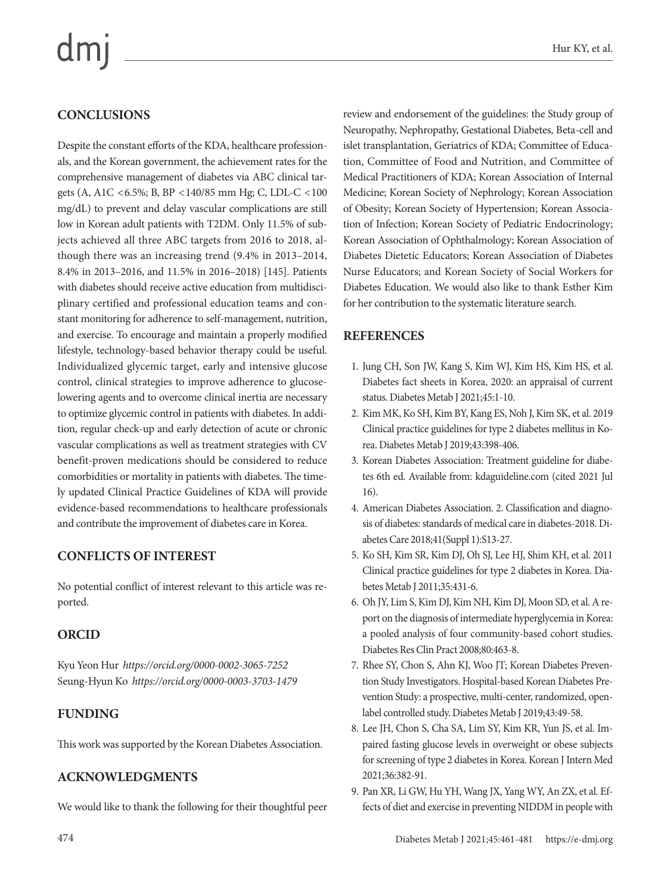# dm

# **CONCLUSIONS**

Despite the constant efforts of the KDA, healthcare professionals, and the Korean government, the achievement rates for the comprehensive management of diabetes via ABC clinical targets (A, A1C <6.5%; B, BP <140/85 mm Hg; C, LDL-C <100 mg/dL) to prevent and delay vascular complications are still low in Korean adult patients with T2DM. Only 11.5% of subjects achieved all three ABC targets from 2016 to 2018, although there was an increasing trend (9.4% in 2013–2014, 8.4% in 2013–2016, and 11.5% in 2016–2018) [145]. Patients with diabetes should receive active education from multidisciplinary certified and professional education teams and constant monitoring for adherence to self-management, nutrition, and exercise. To encourage and maintain a properly modified lifestyle, technology-based behavior therapy could be useful. Individualized glycemic target, early and intensive glucose control, clinical strategies to improve adherence to glucoselowering agents and to overcome clinical inertia are necessary to optimize glycemic control in patients with diabetes. In addition, regular check-up and early detection of acute or chronic vascular complications as well as treatment strategies with CV benefit-proven medications should be considered to reduce comorbidities or mortality in patients with diabetes. The timely updated Clinical Practice Guidelines of KDA will provide evidence-based recommendations to healthcare professionals and contribute the improvement of diabetes care in Korea.

## **CONFLICTS OF INTEREST**

No potential conflict of interest relevant to this article was reported.

## **ORCID**

Kyu Yeon Hur *https://orcid.org/0000-0002-3065-7252* Seung-Hyun Ko *https://orcid.org/0000-0003-3703-1479*

## **FUNDING**

This work was supported by the Korean Diabetes Association.

## **ACKNOWLEDGMENTS**

We would like to thank the following for their thoughtful peer

review and endorsement of the guidelines: the Study group of Neuropathy, Nephropathy, Gestational Diabetes, Beta-cell and islet transplantation, Geriatrics of KDA; Committee of Education, Committee of Food and Nutrition, and Committee of Medical Practitioners of KDA; Korean Association of Internal Medicine; Korean Society of Nephrology; Korean Association of Obesity; Korean Society of Hypertension; Korean Association of Infection; Korean Society of Pediatric Endocrinology; Korean Association of Ophthalmology; Korean Association of Diabetes Dietetic Educators; Korean Association of Diabetes Nurse Educators; and Korean Society of Social Workers for Diabetes Education. We would also like to thank Esther Kim for her contribution to the systematic literature search.

#### **REFERENCES**

- 1. Jung CH, Son JW, Kang S, Kim WJ, Kim HS, Kim HS, et al. Diabetes fact sheets in Korea, 2020: an appraisal of current status. Diabetes Metab J 2021;45:1-10.
- 2. Kim MK, Ko SH, Kim BY, Kang ES, Noh J, Kim SK, et al. 2019 Clinical practice guidelines for type 2 diabetes mellitus in Korea. Diabetes Metab J 2019;43:398-406.
- 3. Korean Diabetes Association: Treatment guideline for diabetes 6th ed. Available from: kdaguideline.com (cited 2021 Jul 16).
- 4. American Diabetes Association. 2. Classification and diagnosis of diabetes: standards of medical care in diabetes-2018. Diabetes Care 2018;41(Suppl 1):S13-27.
- 5. Ko SH, Kim SR, Kim DJ, Oh SJ, Lee HJ, Shim KH, et al. 2011 Clinical practice guidelines for type 2 diabetes in Korea. Diabetes Metab J 2011;35:431-6.
- 6. Oh JY, Lim S, Kim DJ, Kim NH, Kim DJ, Moon SD, et al. A report on the diagnosis of intermediate hyperglycemia in Korea: a pooled analysis of four community-based cohort studies. Diabetes Res Clin Pract 2008;80:463-8.
- 7. Rhee SY, Chon S, Ahn KJ, Woo JT; Korean Diabetes Prevention Study Investigators. Hospital-based Korean Diabetes Prevention Study: a prospective, multi-center, randomized, openlabel controlled study. Diabetes Metab J 2019;43:49-58.
- 8. Lee JH, Chon S, Cha SA, Lim SY, Kim KR, Yun JS, et al. Impaired fasting glucose levels in overweight or obese subjects for screening of type 2 diabetes in Korea. Korean J Intern Med 2021;36:382-91.
- 9. Pan XR, Li GW, Hu YH, Wang JX, Yang WY, An ZX, et al. Effects of diet and exercise in preventing NIDDM in people with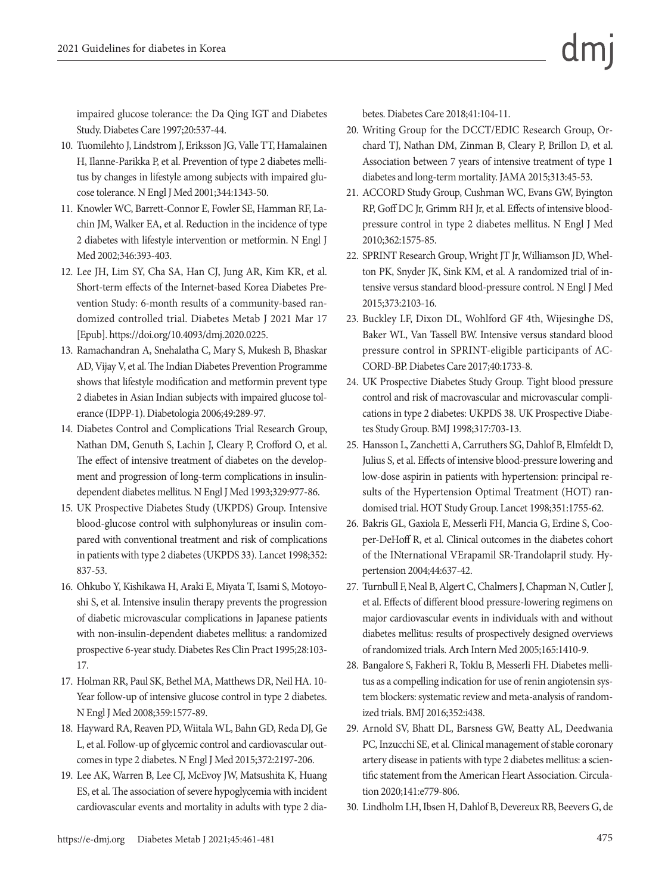impaired glucose tolerance: the Da Qing IGT and Diabetes Study. Diabetes Care 1997;20:537-44.

- 10. Tuomilehto J, Lindstrom J, Eriksson JG, Valle TT, Hamalainen H, Ilanne-Parikka P, et al. Prevention of type 2 diabetes mellitus by changes in lifestyle among subjects with impaired glucose tolerance. N Engl J Med 2001;344:1343-50.
- 11. Knowler WC, Barrett-Connor E, Fowler SE, Hamman RF, Lachin JM, Walker EA, et al. Reduction in the incidence of type 2 diabetes with lifestyle intervention or metformin. N Engl J Med 2002;346:393-403.
- 12. Lee JH, Lim SY, Cha SA, Han CJ, Jung AR, Kim KR, et al. Short-term effects of the Internet-based Korea Diabetes Prevention Study: 6-month results of a community-based randomized controlled trial. Diabetes Metab J 2021 Mar 17 [Epub]. https://doi.org/10.4093/dmj.2020.0225.
- 13. Ramachandran A, Snehalatha C, Mary S, Mukesh B, Bhaskar AD, Vijay V, et al. The Indian Diabetes Prevention Programme shows that lifestyle modification and metformin prevent type 2 diabetes in Asian Indian subjects with impaired glucose tolerance (IDPP-1). Diabetologia 2006;49:289-97.
- 14. Diabetes Control and Complications Trial Research Group, Nathan DM, Genuth S, Lachin J, Cleary P, Crofford O, et al. The effect of intensive treatment of diabetes on the development and progression of long-term complications in insulindependent diabetes mellitus. N Engl J Med 1993;329:977-86.
- 15. UK Prospective Diabetes Study (UKPDS) Group. Intensive blood-glucose control with sulphonylureas or insulin compared with conventional treatment and risk of complications in patients with type 2 diabetes (UKPDS 33). Lancet 1998;352: 837-53.
- 16. Ohkubo Y, Kishikawa H, Araki E, Miyata T, Isami S, Motoyoshi S, et al. Intensive insulin therapy prevents the progression of diabetic microvascular complications in Japanese patients with non-insulin-dependent diabetes mellitus: a randomized prospective 6-year study. Diabetes Res Clin Pract 1995;28:103- 17.
- 17. Holman RR, Paul SK, Bethel MA, Matthews DR, Neil HA. 10- Year follow-up of intensive glucose control in type 2 diabetes. N Engl J Med 2008;359:1577-89.
- 18. Hayward RA, Reaven PD, Wiitala WL, Bahn GD, Reda DJ, Ge L, et al. Follow-up of glycemic control and cardiovascular outcomes in type 2 diabetes. N Engl J Med 2015;372:2197-206.
- 19. Lee AK, Warren B, Lee CJ, McEvoy JW, Matsushita K, Huang ES, et al. The association of severe hypoglycemia with incident cardiovascular events and mortality in adults with type 2 dia-

betes. Diabetes Care 2018;41:104-11.

- 20. Writing Group for the DCCT/EDIC Research Group, Orchard TJ, Nathan DM, Zinman B, Cleary P, Brillon D, et al. Association between 7 years of intensive treatment of type 1 diabetes and long-term mortality. JAMA 2015;313:45-53.
- 21. ACCORD Study Group, Cushman WC, Evans GW, Byington RP, Goff DC Jr, Grimm RH Jr, et al. Effects of intensive bloodpressure control in type 2 diabetes mellitus. N Engl J Med 2010;362:1575-85.
- 22. SPRINT Research Group, Wright JT Jr, Williamson JD, Whelton PK, Snyder JK, Sink KM, et al. A randomized trial of intensive versus standard blood-pressure control. N Engl J Med 2015;373:2103-16.
- 23. Buckley LF, Dixon DL, Wohlford GF 4th, Wijesinghe DS, Baker WL, Van Tassell BW. Intensive versus standard blood pressure control in SPRINT-eligible participants of AC-CORD-BP. Diabetes Care 2017;40:1733-8.
- 24. UK Prospective Diabetes Study Group. Tight blood pressure control and risk of macrovascular and microvascular complications in type 2 diabetes: UKPDS 38. UK Prospective Diabetes Study Group. BMJ 1998;317:703-13.
- 25. Hansson L, Zanchetti A, Carruthers SG, Dahlof B, Elmfeldt D, Julius S, et al. Effects of intensive blood-pressure lowering and low-dose aspirin in patients with hypertension: principal results of the Hypertension Optimal Treatment (HOT) randomised trial. HOT Study Group. Lancet 1998;351:1755-62.
- 26. Bakris GL, Gaxiola E, Messerli FH, Mancia G, Erdine S, Cooper-DeHoff R, et al. Clinical outcomes in the diabetes cohort of the INternational VErapamil SR-Trandolapril study. Hypertension 2004;44:637-42.
- 27. Turnbull F, Neal B, Algert C, Chalmers J, Chapman N, Cutler J, et al. Effects of different blood pressure-lowering regimens on major cardiovascular events in individuals with and without diabetes mellitus: results of prospectively designed overviews of randomized trials. Arch Intern Med 2005;165:1410-9.
- 28. Bangalore S, Fakheri R, Toklu B, Messerli FH. Diabetes mellitus as a compelling indication for use of renin angiotensin system blockers: systematic review and meta-analysis of randomized trials. BMJ 2016;352:i438.
- 29. Arnold SV, Bhatt DL, Barsness GW, Beatty AL, Deedwania PC, Inzucchi SE, et al. Clinical management of stable coronary artery disease in patients with type 2 diabetes mellitus: a scientific statement from the American Heart Association. Circulation 2020;141:e779-806.
- 30. Lindholm LH, Ibsen H, Dahlof B, Devereux RB, Beevers G, de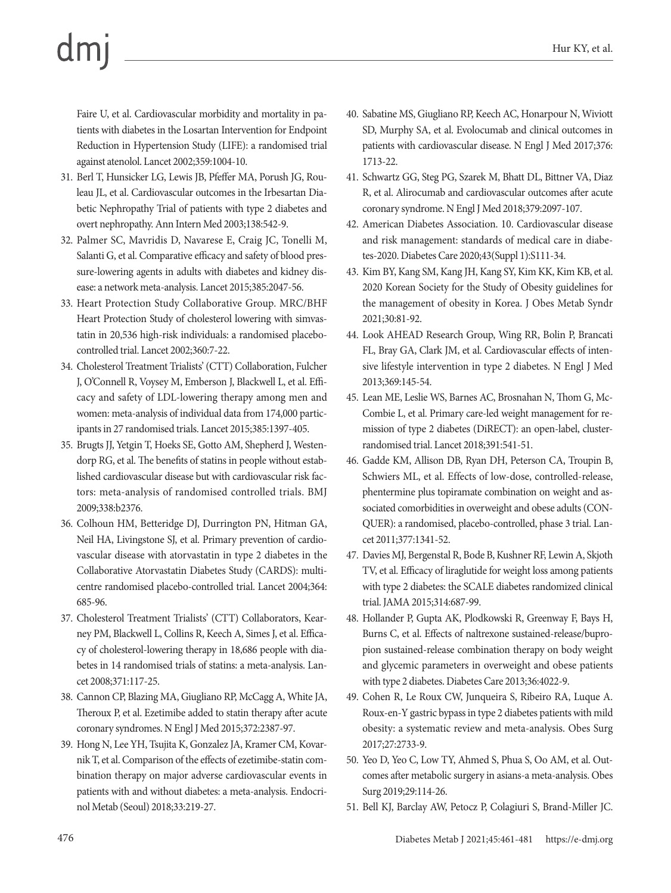Faire U, et al. Cardiovascular morbidity and mortality in patients with diabetes in the Losartan Intervention for Endpoint Reduction in Hypertension Study (LIFE): a randomised trial against atenolol. Lancet 2002;359:1004-10.

- 31. Berl T, Hunsicker LG, Lewis JB, Pfeffer MA, Porush JG, Rouleau JL, et al. Cardiovascular outcomes in the Irbesartan Diabetic Nephropathy Trial of patients with type 2 diabetes and overt nephropathy. Ann Intern Med 2003;138:542-9.
- 32. Palmer SC, Mavridis D, Navarese E, Craig JC, Tonelli M, Salanti G, et al. Comparative efficacy and safety of blood pressure-lowering agents in adults with diabetes and kidney disease: a network meta-analysis. Lancet 2015;385:2047-56.
- 33. Heart Protection Study Collaborative Group. MRC/BHF Heart Protection Study of cholesterol lowering with simvastatin in 20,536 high-risk individuals: a randomised placebocontrolled trial. Lancet 2002;360:7-22.
- 34. Cholesterol Treatment Trialists' (CTT) Collaboration, Fulcher J, O'Connell R, Voysey M, Emberson J, Blackwell L, et al. Efficacy and safety of LDL-lowering therapy among men and women: meta-analysis of individual data from 174,000 participants in 27 randomised trials. Lancet 2015;385:1397-405.
- 35. Brugts JJ, Yetgin T, Hoeks SE, Gotto AM, Shepherd J, Westendorp RG, et al. The benefits of statins in people without established cardiovascular disease but with cardiovascular risk factors: meta-analysis of randomised controlled trials. BMJ 2009;338:b2376.
- 36. Colhoun HM, Betteridge DJ, Durrington PN, Hitman GA, Neil HA, Livingstone SJ, et al. Primary prevention of cardiovascular disease with atorvastatin in type 2 diabetes in the Collaborative Atorvastatin Diabetes Study (CARDS): multicentre randomised placebo-controlled trial. Lancet 2004;364: 685-96.
- 37. Cholesterol Treatment Trialists' (CTT) Collaborators, Kearney PM, Blackwell L, Collins R, Keech A, Simes J, et al. Efficacy of cholesterol-lowering therapy in 18,686 people with diabetes in 14 randomised trials of statins: a meta-analysis. Lancet 2008;371:117-25.
- 38. Cannon CP, Blazing MA, Giugliano RP, McCagg A, White JA, Theroux P, et al. Ezetimibe added to statin therapy after acute coronary syndromes. N Engl J Med 2015;372:2387-97.
- 39. Hong N, Lee YH, Tsujita K, Gonzalez JA, Kramer CM, Kovarnik T, et al. Comparison of the effects of ezetimibe-statin combination therapy on major adverse cardiovascular events in patients with and without diabetes: a meta-analysis. Endocrinol Metab (Seoul) 2018;33:219-27.
- 40. Sabatine MS, Giugliano RP, Keech AC, Honarpour N, Wiviott SD, Murphy SA, et al. Evolocumab and clinical outcomes in patients with cardiovascular disease. N Engl J Med 2017;376: 1713-22.
- 41. Schwartz GG, Steg PG, Szarek M, Bhatt DL, Bittner VA, Diaz R, et al. Alirocumab and cardiovascular outcomes after acute coronary syndrome. N Engl J Med 2018;379:2097-107.
- 42. American Diabetes Association. 10. Cardiovascular disease and risk management: standards of medical care in diabetes-2020. Diabetes Care 2020;43(Suppl 1):S111-34.
- 43. Kim BY, Kang SM, Kang JH, Kang SY, Kim KK, Kim KB, et al. 2020 Korean Society for the Study of Obesity guidelines for the management of obesity in Korea. J Obes Metab Syndr 2021;30:81-92.
- 44. Look AHEAD Research Group, Wing RR, Bolin P, Brancati FL, Bray GA, Clark JM, et al. Cardiovascular effects of intensive lifestyle intervention in type 2 diabetes. N Engl J Med 2013;369:145-54.
- 45. Lean ME, Leslie WS, Barnes AC, Brosnahan N, Thom G, Mc-Combie L, et al. Primary care-led weight management for remission of type 2 diabetes (DiRECT): an open-label, clusterrandomised trial. Lancet 2018;391:541-51.
- 46. Gadde KM, Allison DB, Ryan DH, Peterson CA, Troupin B, Schwiers ML, et al. Effects of low-dose, controlled-release, phentermine plus topiramate combination on weight and associated comorbidities in overweight and obese adults (CON-QUER): a randomised, placebo-controlled, phase 3 trial. Lancet 2011;377:1341-52.
- 47. Davies MJ, Bergenstal R, Bode B, Kushner RF, Lewin A, Skjoth TV, et al. Efficacy of liraglutide for weight loss among patients with type 2 diabetes: the SCALE diabetes randomized clinical trial. JAMA 2015;314:687-99.
- 48. Hollander P, Gupta AK, Plodkowski R, Greenway F, Bays H, Burns C, et al. Effects of naltrexone sustained-release/bupropion sustained-release combination therapy on body weight and glycemic parameters in overweight and obese patients with type 2 diabetes. Diabetes Care 2013;36:4022-9.
- 49. Cohen R, Le Roux CW, Junqueira S, Ribeiro RA, Luque A. Roux-en-Y gastric bypass in type 2 diabetes patients with mild obesity: a systematic review and meta-analysis. Obes Surg 2017;27:2733-9.
- 50. Yeo D, Yeo C, Low TY, Ahmed S, Phua S, Oo AM, et al. Outcomes after metabolic surgery in asians-a meta-analysis. Obes Surg 2019;29:114-26.
- 51. Bell KJ, Barclay AW, Petocz P, Colagiuri S, Brand-Miller JC.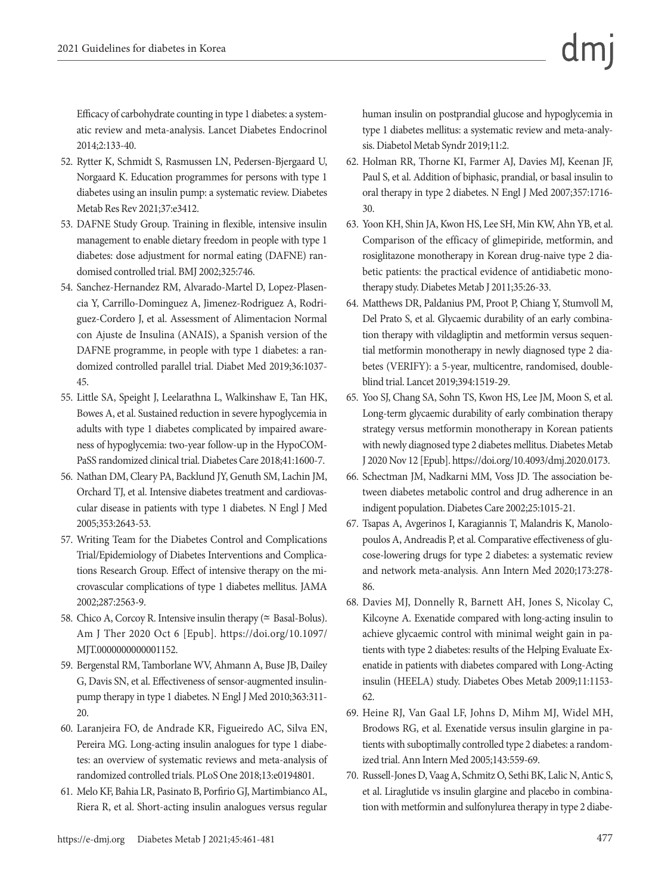Efficacy of carbohydrate counting in type 1 diabetes: a systematic review and meta-analysis. Lancet Diabetes Endocrinol 2014;2:133-40.

- 52. Rytter K, Schmidt S, Rasmussen LN, Pedersen-Bjergaard U, Norgaard K. Education programmes for persons with type 1 diabetes using an insulin pump: a systematic review. Diabetes Metab Res Rev 2021;37:e3412.
- 53. DAFNE Study Group. Training in flexible, intensive insulin management to enable dietary freedom in people with type 1 diabetes: dose adjustment for normal eating (DAFNE) randomised controlled trial. BMJ 2002;325:746.
- 54. Sanchez-Hernandez RM, Alvarado-Martel D, Lopez-Plasencia Y, Carrillo-Dominguez A, Jimenez-Rodriguez A, Rodriguez-Cordero J, et al. Assessment of Alimentacion Normal con Ajuste de Insulina (ANAIS), a Spanish version of the DAFNE programme, in people with type 1 diabetes: a randomized controlled parallel trial. Diabet Med 2019;36:1037- 45.
- 55. Little SA, Speight J, Leelarathna L, Walkinshaw E, Tan HK, Bowes A, et al. Sustained reduction in severe hypoglycemia in adults with type 1 diabetes complicated by impaired awareness of hypoglycemia: two-year follow-up in the HypoCOM-PaSS randomized clinical trial. Diabetes Care 2018;41:1600-7.
- 56. Nathan DM, Cleary PA, Backlund JY, Genuth SM, Lachin JM, Orchard TJ, et al. Intensive diabetes treatment and cardiovascular disease in patients with type 1 diabetes. N Engl J Med 2005;353:2643-53.
- 57. Writing Team for the Diabetes Control and Complications Trial/Epidemiology of Diabetes Interventions and Complications Research Group. Effect of intensive therapy on the microvascular complications of type 1 diabetes mellitus. JAMA 2002;287:2563-9.
- 58. Chico A, Corcoy R. Intensive insulin therapy ( $\simeq$  Basal-Bolus). Am J Ther 2020 Oct 6 [Epub]. https://doi.org/10.1097/ MJT.0000000000001152.
- 59. Bergenstal RM, Tamborlane WV, Ahmann A, Buse JB, Dailey G, Davis SN, et al. Effectiveness of sensor-augmented insulinpump therapy in type 1 diabetes. N Engl J Med 2010;363:311- 20.
- 60. Laranjeira FO, de Andrade KR, Figueiredo AC, Silva EN, Pereira MG. Long-acting insulin analogues for type 1 diabetes: an overview of systematic reviews and meta-analysis of randomized controlled trials. PLoS One 2018;13:e0194801.
- 61. Melo KF, Bahia LR, Pasinato B, Porfirio GJ, Martimbianco AL, Riera R, et al. Short-acting insulin analogues versus regular

human insulin on postprandial glucose and hypoglycemia in type 1 diabetes mellitus: a systematic review and meta-analysis. Diabetol Metab Syndr 2019;11:2.

- 62. Holman RR, Thorne KI, Farmer AJ, Davies MJ, Keenan JF, Paul S, et al. Addition of biphasic, prandial, or basal insulin to oral therapy in type 2 diabetes. N Engl J Med 2007;357:1716- 30.
- 63. Yoon KH, Shin JA, Kwon HS, Lee SH, Min KW, Ahn YB, et al. Comparison of the efficacy of glimepiride, metformin, and rosiglitazone monotherapy in Korean drug-naive type 2 diabetic patients: the practical evidence of antidiabetic monotherapy study. Diabetes Metab J 2011;35:26-33.
- 64. Matthews DR, Paldanius PM, Proot P, Chiang Y, Stumvoll M, Del Prato S, et al. Glycaemic durability of an early combination therapy with vildagliptin and metformin versus sequential metformin monotherapy in newly diagnosed type 2 diabetes (VERIFY): a 5-year, multicentre, randomised, doubleblind trial. Lancet 2019;394:1519-29.
- 65. Yoo SJ, Chang SA, Sohn TS, Kwon HS, Lee JM, Moon S, et al. Long-term glycaemic durability of early combination therapy strategy versus metformin monotherapy in Korean patients with newly diagnosed type 2 diabetes mellitus. Diabetes Metab J 2020 Nov 12 [Epub]. https://doi.org/10.4093/dmj.2020.0173.
- 66. Schectman JM, Nadkarni MM, Voss JD. The association between diabetes metabolic control and drug adherence in an indigent population. Diabetes Care 2002;25:1015-21.
- 67. Tsapas A, Avgerinos I, Karagiannis T, Malandris K, Manolopoulos A, Andreadis P, et al. Comparative effectiveness of glucose-lowering drugs for type 2 diabetes: a systematic review and network meta-analysis. Ann Intern Med 2020;173:278- 86.
- 68. Davies MJ, Donnelly R, Barnett AH, Jones S, Nicolay C, Kilcoyne A. Exenatide compared with long-acting insulin to achieve glycaemic control with minimal weight gain in patients with type 2 diabetes: results of the Helping Evaluate Exenatide in patients with diabetes compared with Long-Acting insulin (HEELA) study. Diabetes Obes Metab 2009;11:1153- 62.
- 69. Heine RJ, Van Gaal LF, Johns D, Mihm MJ, Widel MH, Brodows RG, et al. Exenatide versus insulin glargine in patients with suboptimally controlled type 2 diabetes: a randomized trial. Ann Intern Med 2005;143:559-69.
- 70. Russell-Jones D, Vaag A, Schmitz O, Sethi BK, Lalic N, Antic S, et al. Liraglutide vs insulin glargine and placebo in combination with metformin and sulfonylurea therapy in type 2 diabe-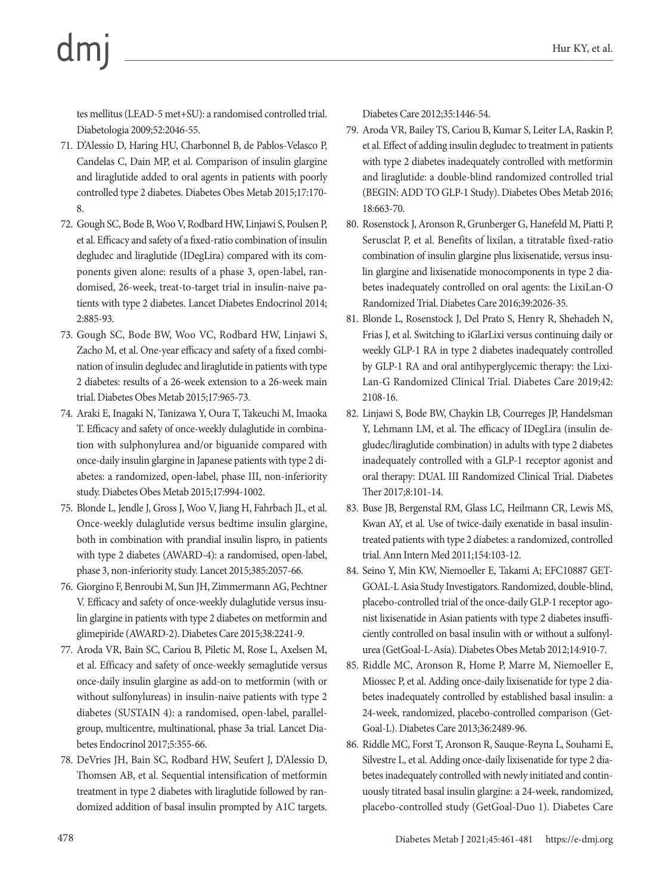tes mellitus (LEAD-5 met+SU): a randomised controlled trial. Diabetologia 2009;52:2046-55.

- 71. D'Alessio D, Haring HU, Charbonnel B, de Pablos-Velasco P, Candelas C, Dain MP, et al. Comparison of insulin glargine and liraglutide added to oral agents in patients with poorly controlled type 2 diabetes. Diabetes Obes Metab 2015;17:170- 8.
- 72. Gough SC, Bode B, Woo V, Rodbard HW, Linjawi S, Poulsen P, et al. Efficacy and safety of a fixed-ratio combination of insulin degludec and liraglutide (IDegLira) compared with its components given alone: results of a phase 3, open-label, randomised, 26-week, treat-to-target trial in insulin-naive patients with type 2 diabetes. Lancet Diabetes Endocrinol 2014; 2:885-93.
- 73. Gough SC, Bode BW, Woo VC, Rodbard HW, Linjawi S, Zacho M, et al. One-year efficacy and safety of a fixed combination of insulin degludec and liraglutide in patients with type 2 diabetes: results of a 26-week extension to a 26-week main trial. Diabetes Obes Metab 2015;17:965-73.
- 74. Araki E, Inagaki N, Tanizawa Y, Oura T, Takeuchi M, Imaoka T. Efficacy and safety of once-weekly dulaglutide in combination with sulphonylurea and/or biguanide compared with once-daily insulin glargine in Japanese patients with type 2 diabetes: a randomized, open-label, phase III, non-inferiority study. Diabetes Obes Metab 2015;17:994-1002.
- 75. Blonde L, Jendle J, Gross J, Woo V, Jiang H, Fahrbach JL, et al. Once-weekly dulaglutide versus bedtime insulin glargine, both in combination with prandial insulin lispro, in patients with type 2 diabetes (AWARD-4): a randomised, open-label, phase 3, non-inferiority study. Lancet 2015;385:2057-66.
- 76. Giorgino F, Benroubi M, Sun JH, Zimmermann AG, Pechtner V. Efficacy and safety of once-weekly dulaglutide versus insulin glargine in patients with type 2 diabetes on metformin and glimepiride (AWARD-2). Diabetes Care 2015;38:2241-9.
- 77. Aroda VR, Bain SC, Cariou B, Piletic M, Rose L, Axelsen M, et al. Efficacy and safety of once-weekly semaglutide versus once-daily insulin glargine as add-on to metformin (with or without sulfonylureas) in insulin-naive patients with type 2 diabetes (SUSTAIN 4): a randomised, open-label, parallelgroup, multicentre, multinational, phase 3a trial. Lancet Diabetes Endocrinol 2017;5:355-66.
- 78. DeVries JH, Bain SC, Rodbard HW, Seufert J, D'Alessio D, Thomsen AB, et al. Sequential intensification of metformin treatment in type 2 diabetes with liraglutide followed by randomized addition of basal insulin prompted by A1C targets.

Diabetes Care 2012;35:1446-54.

- 79. Aroda VR, Bailey TS, Cariou B, Kumar S, Leiter LA, Raskin P, et al. Effect of adding insulin degludec to treatment in patients with type 2 diabetes inadequately controlled with metformin and liraglutide: a double-blind randomized controlled trial (BEGIN: ADD TO GLP-1 Study). Diabetes Obes Metab 2016; 18:663-70.
- 80. Rosenstock J, Aronson R, Grunberger G, Hanefeld M, Piatti P, Serusclat P, et al. Benefits of lixilan, a titratable fixed-ratio combination of insulin glargine plus lixisenatide, versus insulin glargine and lixisenatide monocomponents in type 2 diabetes inadequately controlled on oral agents: the LixiLan-O Randomized Trial. Diabetes Care 2016;39:2026-35.
- 81. Blonde L, Rosenstock J, Del Prato S, Henry R, Shehadeh N, Frias J, et al. Switching to iGlarLixi versus continuing daily or weekly GLP-1 RA in type 2 diabetes inadequately controlled by GLP-1 RA and oral antihyperglycemic therapy: the Lixi-Lan-G Randomized Clinical Trial. Diabetes Care 2019;42: 2108-16.
- 82. Linjawi S, Bode BW, Chaykin LB, Courreges JP, Handelsman Y, Lehmann LM, et al. The efficacy of IDegLira (insulin degludec/liraglutide combination) in adults with type 2 diabetes inadequately controlled with a GLP-1 receptor agonist and oral therapy: DUAL III Randomized Clinical Trial. Diabetes Ther 2017;8:101-14.
- 83. Buse JB, Bergenstal RM, Glass LC, Heilmann CR, Lewis MS, Kwan AY, et al. Use of twice-daily exenatide in basal insulintreated patients with type 2 diabetes: a randomized, controlled trial. Ann Intern Med 2011;154:103-12.
- 84. Seino Y, Min KW, Niemoeller E, Takami A; EFC10887 GET-GOAL-L Asia Study Investigators. Randomized, double-blind, placebo-controlled trial of the once-daily GLP-1 receptor agonist lixisenatide in Asian patients with type 2 diabetes insufficiently controlled on basal insulin with or without a sulfonylurea (GetGoal-L-Asia). Diabetes Obes Metab 2012;14:910-7.
- 85. Riddle MC, Aronson R, Home P, Marre M, Niemoeller E, Miossec P, et al. Adding once-daily lixisenatide for type 2 diabetes inadequately controlled by established basal insulin: a 24-week, randomized, placebo-controlled comparison (Get-Goal-L). Diabetes Care 2013;36:2489-96.
- 86. Riddle MC, Forst T, Aronson R, Sauque-Reyna L, Souhami E, Silvestre L, et al. Adding once-daily lixisenatide for type 2 diabetes inadequately controlled with newly initiated and continuously titrated basal insulin glargine: a 24-week, randomized, placebo-controlled study (GetGoal-Duo 1). Diabetes Care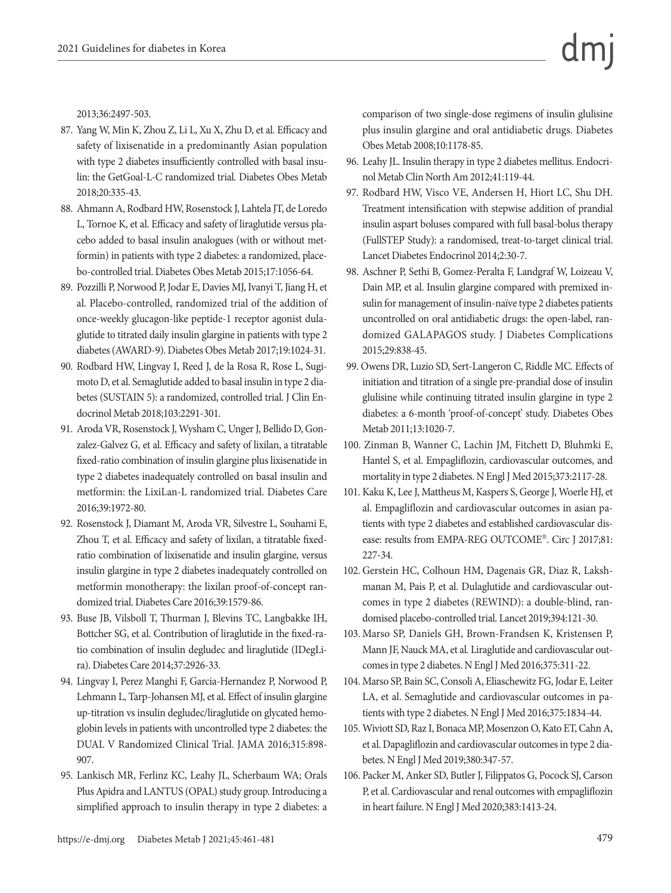2013;36:2497-503.

- 87. Yang W, Min K, Zhou Z, Li L, Xu X, Zhu D, et al. Efficacy and safety of lixisenatide in a predominantly Asian population with type 2 diabetes insufficiently controlled with basal insulin: the GetGoal-L-C randomized trial. Diabetes Obes Metab 2018;20:335-43.
- 88. Ahmann A, Rodbard HW, Rosenstock J, Lahtela JT, de Loredo L, Tornoe K, et al. Efficacy and safety of liraglutide versus placebo added to basal insulin analogues (with or without metformin) in patients with type 2 diabetes: a randomized, placebo-controlled trial. Diabetes Obes Metab 2015;17:1056-64.
- 89. Pozzilli P, Norwood P, Jodar E, Davies MJ, Ivanyi T, Jiang H, et al. Placebo-controlled, randomized trial of the addition of once-weekly glucagon-like peptide-1 receptor agonist dulaglutide to titrated daily insulin glargine in patients with type 2 diabetes (AWARD-9). Diabetes Obes Metab 2017;19:1024-31.
- 90. Rodbard HW, Lingvay I, Reed J, de la Rosa R, Rose L, Sugimoto D, et al. Semaglutide added to basal insulin in type 2 diabetes (SUSTAIN 5): a randomized, controlled trial. J Clin Endocrinol Metab 2018;103:2291-301.
- 91. Aroda VR, Rosenstock J, Wysham C, Unger J, Bellido D, Gonzalez-Galvez G, et al. Efficacy and safety of lixilan, a titratable fixed-ratio combination of insulin glargine plus lixisenatide in type 2 diabetes inadequately controlled on basal insulin and metformin: the LixiLan-L randomized trial. Diabetes Care 2016;39:1972-80.
- 92. Rosenstock J, Diamant M, Aroda VR, Silvestre L, Souhami E, Zhou T, et al. Efficacy and safety of lixilan, a titratable fixedratio combination of lixisenatide and insulin glargine, versus insulin glargine in type 2 diabetes inadequately controlled on metformin monotherapy: the lixilan proof-of-concept randomized trial. Diabetes Care 2016;39:1579-86.
- 93. Buse JB, Vilsboll T, Thurman J, Blevins TC, Langbakke IH, Bottcher SG, et al. Contribution of liraglutide in the fixed-ratio combination of insulin degludec and liraglutide (IDegLira). Diabetes Care 2014;37:2926-33.
- 94. Lingvay I, Perez Manghi F, Garcia-Hernandez P, Norwood P, Lehmann L, Tarp-Johansen MJ, et al. Effect of insulin glargine up-titration vs insulin degludec/liraglutide on glycated hemoglobin levels in patients with uncontrolled type 2 diabetes: the DUAL V Randomized Clinical Trial. JAMA 2016;315:898- 907.
- 95. Lankisch MR, Ferlinz KC, Leahy JL, Scherbaum WA; Orals Plus Apidra and LANTUS (OPAL) study group. Introducing a simplified approach to insulin therapy in type 2 diabetes: a

comparison of two single-dose regimens of insulin glulisine plus insulin glargine and oral antidiabetic drugs. Diabetes Obes Metab 2008;10:1178-85.

- 96. Leahy JL. Insulin therapy in type 2 diabetes mellitus. Endocrinol Metab Clin North Am 2012;41:119-44.
- 97. Rodbard HW, Visco VE, Andersen H, Hiort LC, Shu DH. Treatment intensification with stepwise addition of prandial insulin aspart boluses compared with full basal-bolus therapy (FullSTEP Study): a randomised, treat-to-target clinical trial. Lancet Diabetes Endocrinol 2014;2:30-7.
- 98. Aschner P, Sethi B, Gomez-Peralta F, Landgraf W, Loizeau V, Dain MP, et al. Insulin glargine compared with premixed insulin for management of insulin-naïve type 2 diabetes patients uncontrolled on oral antidiabetic drugs: the open-label, randomized GALAPAGOS study. J Diabetes Complications 2015;29:838-45.
- 99. Owens DR, Luzio SD, Sert-Langeron C, Riddle MC. Effects of initiation and titration of a single pre-prandial dose of insulin glulisine while continuing titrated insulin glargine in type 2 diabetes: a 6-month 'proof-of-concept' study. Diabetes Obes Metab 2011;13:1020-7.
- 100. Zinman B, Wanner C, Lachin JM, Fitchett D, Bluhmki E, Hantel S, et al. Empagliflozin, cardiovascular outcomes, and mortality in type 2 diabetes. N Engl J Med 2015;373:2117-28.
- 101. Kaku K, Lee J, Mattheus M, Kaspers S, George J, Woerle HJ, et al. Empagliflozin and cardiovascular outcomes in asian patients with type 2 diabetes and established cardiovascular disease: results from EMPA-REG OUTCOME®. Circ J 2017;81: 227-34.
- 102. Gerstein HC, Colhoun HM, Dagenais GR, Diaz R, Lakshmanan M, Pais P, et al. Dulaglutide and cardiovascular outcomes in type 2 diabetes (REWIND): a double-blind, randomised placebo-controlled trial. Lancet 2019;394:121-30.
- 103. Marso SP, Daniels GH, Brown-Frandsen K, Kristensen P, Mann JF, Nauck MA, et al. Liraglutide and cardiovascular outcomes in type 2 diabetes. N Engl J Med 2016;375:311-22.
- 104. Marso SP, Bain SC, Consoli A, Eliaschewitz FG, Jodar E, Leiter LA, et al. Semaglutide and cardiovascular outcomes in patients with type 2 diabetes. N Engl J Med 2016;375:1834-44.
- 105. Wiviott SD, Raz I, Bonaca MP, Mosenzon O, Kato ET, Cahn A, et al. Dapagliflozin and cardiovascular outcomes in type 2 diabetes. N Engl J Med 2019;380:347-57.
- 106. Packer M, Anker SD, Butler J, Filippatos G, Pocock SJ, Carson P, et al. Cardiovascular and renal outcomes with empagliflozin in heart failure. N Engl J Med 2020;383:1413-24.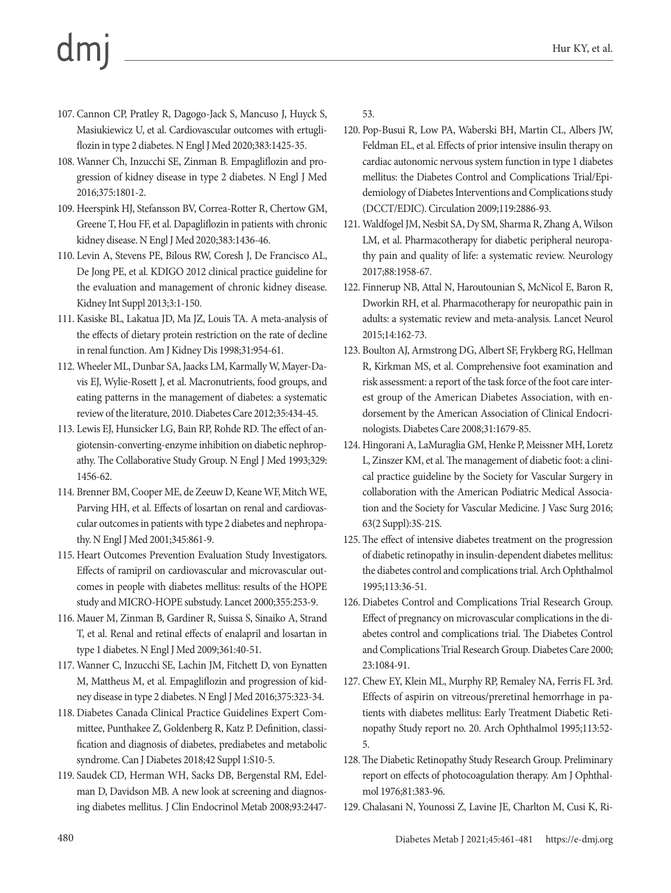- 107. Cannon CP, Pratley R, Dagogo-Jack S, Mancuso J, Huyck S, Masiukiewicz U, et al. Cardiovascular outcomes with ertugliflozin in type 2 diabetes. N Engl J Med 2020;383:1425-35.
- 108. Wanner Ch, Inzucchi SE, Zinman B. Empagliflozin and progression of kidney disease in type 2 diabetes. N Engl J Med 2016;375:1801-2.
- 109. Heerspink HJ, Stefansson BV, Correa-Rotter R, Chertow GM, Greene T, Hou FF, et al. Dapagliflozin in patients with chronic kidney disease. N Engl J Med 2020;383:1436-46.
- 110. Levin A, Stevens PE, Bilous RW, Coresh J, De Francisco AL, De Jong PE, et al. KDIGO 2012 clinical practice guideline for the evaluation and management of chronic kidney disease. Kidney Int Suppl 2013;3:1-150.
- 111. Kasiske BL, Lakatua JD, Ma JZ, Louis TA. A meta-analysis of the effects of dietary protein restriction on the rate of decline in renal function. Am J Kidney Dis 1998;31:954-61.
- 112. Wheeler ML, Dunbar SA, Jaacks LM, Karmally W, Mayer-Davis EJ, Wylie-Rosett J, et al. Macronutrients, food groups, and eating patterns in the management of diabetes: a systematic review of the literature, 2010. Diabetes Care 2012;35:434-45.
- 113. Lewis EJ, Hunsicker LG, Bain RP, Rohde RD. The effect of angiotensin-converting-enzyme inhibition on diabetic nephropathy. The Collaborative Study Group. N Engl J Med 1993;329: 1456-62.
- 114. Brenner BM, Cooper ME, de Zeeuw D, Keane WF, Mitch WE, Parving HH, et al. Effects of losartan on renal and cardiovascular outcomes in patients with type 2 diabetes and nephropathy. N Engl J Med 2001;345:861-9.
- 115. Heart Outcomes Prevention Evaluation Study Investigators. Effects of ramipril on cardiovascular and microvascular outcomes in people with diabetes mellitus: results of the HOPE study and MICRO-HOPE substudy. Lancet 2000;355:253-9.
- 116. Mauer M, Zinman B, Gardiner R, Suissa S, Sinaiko A, Strand T, et al. Renal and retinal effects of enalapril and losartan in type 1 diabetes. N Engl J Med 2009;361:40-51.
- 117. Wanner C, Inzucchi SE, Lachin JM, Fitchett D, von Eynatten M, Mattheus M, et al. Empagliflozin and progression of kidney disease in type 2 diabetes. N Engl J Med 2016;375:323-34.
- 118. Diabetes Canada Clinical Practice Guidelines Expert Committee, Punthakee Z, Goldenberg R, Katz P. Definition, classification and diagnosis of diabetes, prediabetes and metabolic syndrome. Can J Diabetes 2018;42 Suppl 1:S10-5.
- 119. Saudek CD, Herman WH, Sacks DB, Bergenstal RM, Edelman D, Davidson MB. A new look at screening and diagnosing diabetes mellitus. J Clin Endocrinol Metab 2008;93:2447-

53.

- 120. Pop-Busui R, Low PA, Waberski BH, Martin CL, Albers JW, Feldman EL, et al. Effects of prior intensive insulin therapy on cardiac autonomic nervous system function in type 1 diabetes mellitus: the Diabetes Control and Complications Trial/Epidemiology of Diabetes Interventions and Complications study (DCCT/EDIC). Circulation 2009;119:2886-93.
- 121. Waldfogel JM, Nesbit SA, Dy SM, Sharma R, Zhang A, Wilson LM, et al. Pharmacotherapy for diabetic peripheral neuropathy pain and quality of life: a systematic review. Neurology 2017;88:1958-67.
- 122. Finnerup NB, Attal N, Haroutounian S, McNicol E, Baron R, Dworkin RH, et al. Pharmacotherapy for neuropathic pain in adults: a systematic review and meta-analysis. Lancet Neurol 2015;14:162-73.
- 123. Boulton AJ, Armstrong DG, Albert SF, Frykberg RG, Hellman R, Kirkman MS, et al. Comprehensive foot examination and risk assessment: a report of the task force of the foot care interest group of the American Diabetes Association, with endorsement by the American Association of Clinical Endocrinologists. Diabetes Care 2008;31:1679-85.
- 124. Hingorani A, LaMuraglia GM, Henke P, Meissner MH, Loretz L, Zinszer KM, et al. The management of diabetic foot: a clinical practice guideline by the Society for Vascular Surgery in collaboration with the American Podiatric Medical Association and the Society for Vascular Medicine. J Vasc Surg 2016; 63(2 Suppl):3S-21S.
- 125. The effect of intensive diabetes treatment on the progression of diabetic retinopathy in insulin-dependent diabetes mellitus: the diabetes control and complications trial. Arch Ophthalmol 1995;113:36-51.
- 126. Diabetes Control and Complications Trial Research Group. Effect of pregnancy on microvascular complications in the diabetes control and complications trial. The Diabetes Control and Complications Trial Research Group. Diabetes Care 2000; 23:1084-91.
- 127. Chew EY, Klein ML, Murphy RP, Remaley NA, Ferris FL 3rd. Effects of aspirin on vitreous/preretinal hemorrhage in patients with diabetes mellitus: Early Treatment Diabetic Retinopathy Study report no. 20. Arch Ophthalmol 1995;113:52- 5.
- 128. The Diabetic Retinopathy Study Research Group. Preliminary report on effects of photocoagulation therapy. Am J Ophthalmol 1976;81:383-96.
- 129. Chalasani N, Younossi Z, Lavine JE, Charlton M, Cusi K, Ri-